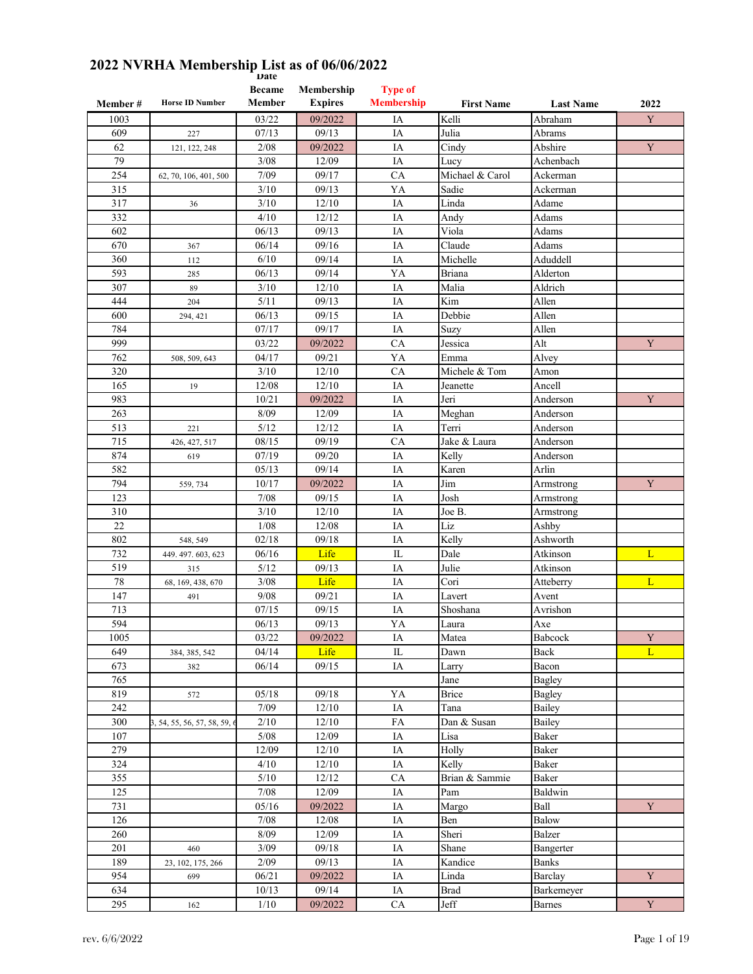| Member # | <b>Horse ID Number</b>       | <b>Became</b><br>Member | Membership<br><b>Expires</b> | <b>Type of</b><br><b>Membership</b> | <b>First Name</b> | <b>Last Name</b> | 2022        |
|----------|------------------------------|-------------------------|------------------------------|-------------------------------------|-------------------|------------------|-------------|
| 1003     |                              | 03/22                   | 09/2022                      | IA                                  | Kelli             | Abraham          | Y           |
| 609      | 227                          | 07/13                   | 09/13                        | IA                                  | Julia             | Abrams           |             |
| 62       | 121, 122, 248                | 2/08                    | 09/2022                      | IA                                  | Cindy             | Abshire          | Y           |
| 79       |                              | 3/08                    | 12/09                        | IA                                  | Lucy              | Achenbach        |             |
| 254      | 62, 70, 106, 401, 500        | 7/09                    | 09/17                        | CA                                  | Michael & Carol   | Ackerman         |             |
| 315      |                              | 3/10                    | 09/13                        | YA                                  | Sadie             | Ackerman         |             |
| 317      | 36                           | 3/10                    | 12/10                        | IA                                  | Linda             | Adame            |             |
| 332      |                              | 4/10                    | 12/12                        | IA                                  | Andy              | Adams            |             |
| 602      |                              | 06/13                   | 09/13                        | IA                                  | Viola             | Adams            |             |
| 670      | 367                          | 06/14                   | 09/16                        | IA                                  | Claude            | Adams            |             |
| 360      | 112                          | 6/10                    | 09/14                        | IA                                  | Michelle          | Aduddell         |             |
| 593      | 285                          | 06/13                   | 09/14                        | YA                                  | Briana            | Alderton         |             |
| 307      | 89                           | 3/10                    | 12/10                        | IA                                  | Malia             | Aldrich          |             |
| 444      | 204                          | 5/11                    | 09/13                        | IA                                  | Kim               | Allen            |             |
| 600      | 294, 421                     | 06/13                   | 09/15                        | IA                                  | Debbie            | Allen            |             |
| 784      |                              | 07/17                   | 09/17                        | IA                                  | Suzy              | Allen            |             |
| 999      |                              | 03/22                   | 09/2022                      | CA                                  | Jessica           | Alt              | Y           |
| 762      | 508, 509, 643                | 04/17                   | 09/21                        | YA                                  | Emma              | Alvey            |             |
| 320      |                              | 3/10                    | 12/10                        | CA                                  | Michele & Tom     | Amon             |             |
| 165      |                              | 12/08                   | 12/10                        | IA                                  | Jeanette          | Ancell           |             |
| 983      | 19                           | 10/21                   | 09/2022                      | IA                                  | Jeri              | Anderson         | $\mathbf Y$ |
| 263      |                              | 8/09                    |                              |                                     |                   |                  |             |
|          |                              |                         | 12/09                        | IA                                  | Meghan<br>Terri   | Anderson         |             |
| 513      | 221                          | 5/12                    | 12/12                        | IA                                  |                   | Anderson         |             |
| 715      | 426, 427, 517                | 08/15                   | 09/19                        | <b>CA</b>                           | Jake & Laura      | Anderson         |             |
| 874      | 619                          | 07/19                   | 09/20                        | IA                                  | Kelly             | Anderson         |             |
| 582      |                              | 05/13                   | 09/14                        | IA                                  | Karen             | Arlin            |             |
| 794      | 559, 734                     | 10/17                   | 09/2022                      | IA                                  | Jim               | Armstrong        | Y           |
| 123      |                              | 7/08                    | 09/15                        | IA                                  | Josh              | Armstrong        |             |
| 310      |                              | 3/10                    | 12/10                        | IA                                  | Joe B.            | Armstrong        |             |
| 22       |                              | 1/08                    | 12/08                        | IA                                  | Liz               | Ashby            |             |
| 802      | 548, 549                     | 02/18                   | 09/18                        | IA                                  | Kelly             | Ashworth         |             |
| 732      | 449.497.603,623              | 06/16                   | Life                         | IL                                  | Dale              | Atkinson         | L           |
| 519      | 315                          | 5/12                    | 09/13                        | IA                                  | Julie             | Atkinson         |             |
| 78       | 68, 169, 438, 670            | 3/08                    | Life                         | IA                                  | Cori              | Atteberry        | L           |
| 147      | 491                          | 9/08                    | 09/21                        | IA                                  | Lavert            | Avent            |             |
| 713      |                              | 07/15                   | 09/15                        | IA                                  | Shoshana          | Avrishon         |             |
| 594      |                              | 06/13                   | 09/13                        | YA                                  | Laura             | Axe              |             |
| 1005     |                              | 03/22                   | 09/2022                      | IA                                  | Matea             | Babcock          | Y           |
| 649      | 384, 385, 542                | 04/14                   | Life                         | $\rm IL$                            | Dawn              | Back             | L           |
| 673      | 382                          | 06/14                   | 09/15                        | IA                                  | Larry             | Bacon            |             |
| 765      |                              |                         |                              |                                     | Jane              | <b>Bagley</b>    |             |
| 819      | 572                          | 05/18                   | 09/18                        | YA                                  | <b>Brice</b>      | Bagley           |             |
| 242      |                              | 7/09                    | 12/10                        | IA                                  | Tana              | Bailey           |             |
| 300      | 3, 54, 55, 56, 57, 58, 59, 6 | 2/10                    | 12/10                        | FA                                  | Dan & Susan       | Bailey           |             |
| 107      |                              | $5/08$                  | 12/09                        | IA                                  | Lisa              | Baker            |             |
| 279      |                              | 12/09                   | 12/10                        | IA                                  | Holly             | Baker            |             |
| 324      |                              | 4/10                    | 12/10                        | IA                                  | Kelly             | Baker            |             |
| 355      |                              | 5/10                    | 12/12                        | ${\rm CA}$                          | Brian & Sammie    | Baker            |             |
| 125      |                              | 7/08                    | 12/09                        | IA                                  | Pam               | Baldwin          |             |
| 731      |                              | 05/16                   | 09/2022                      | IA                                  | Margo             | Ball             | Y           |
| 126      |                              | 7/08                    | 12/08                        | IA                                  | Ben               | Balow            |             |
| 260      |                              | 8/09                    | 12/09                        | $\rm IA$                            | Sheri             | Balzer           |             |
| 201      | 460                          | 3/09                    | 09/18                        | IA                                  | Shane             | Bangerter        |             |
| 189      | 23, 102, 175, 266            | 2/09                    | 09/13                        | IA                                  | Kandice           | Banks            |             |
| 954      | 699                          | 06/21                   | 09/2022                      | IA                                  | Linda             | Barclay          | $\mathbf Y$ |
| 634      |                              | 10/13                   | 09/14                        | $\rm IA$                            | <b>Brad</b>       | Barkemeyer       |             |
| 295      | 162                          | 1/10                    | 09/2022                      | CA                                  | Jeff              | Barnes           | $\mathbf Y$ |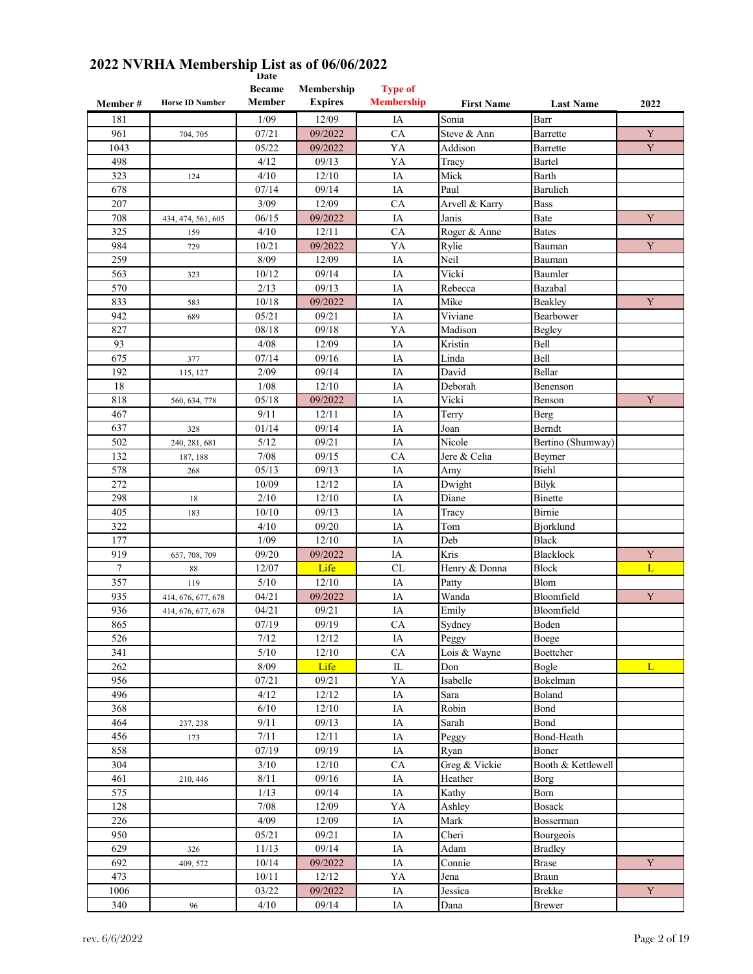| Member # | <b>Horse ID Number</b> | <b>Became</b><br>Member | Membership<br><b>Expires</b> | <b>Type of</b><br><b>Membership</b> | <b>First Name</b> | <b>Last Name</b>   | 2022        |
|----------|------------------------|-------------------------|------------------------------|-------------------------------------|-------------------|--------------------|-------------|
| 181      |                        | 1/09                    | 12/09                        | IA                                  | Sonia             | Barr               |             |
| 961      | 704, 705               | 07/21                   | 09/2022                      | CA                                  | Steve & Ann       | Barrette           | Y           |
| 1043     |                        | 05/22                   | 09/2022                      | YA                                  | Addison           | Barrette           | $\mathbf Y$ |
| 498      |                        | 4/12                    | 09/13                        | YA                                  | Tracy             | Bartel             |             |
| 323      | 124                    | 4/10                    | 12/10                        | IA                                  | Mick              | Barth              |             |
| 678      |                        | 07/14                   | 09/14                        | IA                                  | Paul              | Barulich           |             |
| 207      |                        | 3/09                    | 12/09                        | CA                                  | Arvell & Karry    | <b>Bass</b>        |             |
| 708      | 434, 474, 561, 605     | 06/15                   | 09/2022                      | IA                                  | Janis             | Bate               | Y           |
| 325      | 159                    | 4/10                    | 12/11                        | CA                                  | Roger & Anne      | <b>Bates</b>       |             |
| 984      | 729                    | 10/21                   | 09/2022                      | YA                                  | Rylie             | Bauman             | Y           |
| 259      |                        | 8/09                    | 12/09                        | IA                                  | Neil              | Bauman             |             |
| 563      | 323                    | 10/12                   | 09/14                        | IA                                  | Vicki             | Baumler            |             |
| 570      |                        | 2/13                    | 09/13                        | IA                                  | Rebecca           | Bazabal            |             |
| 833      | 583                    | 10/18                   | 09/2022                      | IA                                  | Mike              | Beakley            | Y           |
| 942      | 689                    | 05/21                   | 09/21                        | IA                                  | Viviane           | Bearbower          |             |
| 827      |                        | 08/18                   | 09/18                        | YA                                  | Madison           | Begley             |             |
| 93       |                        | 4/08                    | 12/09                        | IA                                  | Kristin           | Bell               |             |
| 675      | 377                    | 07/14                   | 09/16                        | IA                                  | Linda             | Bell               |             |
| 192      | 115, 127               | 2/09                    | 09/14                        | IA                                  | David             | Bellar             |             |
| 18       |                        | 1/08                    | 12/10                        | IA                                  | Deborah           | Benenson           |             |
| 818      | 560, 634, 778          | 05/18                   | 09/2022                      | IA                                  | Vicki             | Benson             | $\mathbf Y$ |
| 467      |                        | 9/11                    | 12/11                        | IA                                  | Terry             | Berg               |             |
| 637      | 328                    | 01/14                   | 09/14                        | IA                                  | Joan              | Berndt             |             |
| 502      | 240, 281, 681          | 5/12                    | 09/21                        | IA                                  | Nicole            | Bertino (Shumway)  |             |
| 132      | 187, 188               | 7/08                    | 09/15                        | CA                                  | Jere & Celia      | Beymer             |             |
| 578      | 268                    | 05/13                   | 09/13                        | IA                                  | Amy               | Biehl              |             |
| 272      |                        | 10/09                   | 12/12                        | IA                                  | Dwight            | <b>Bilyk</b>       |             |
| 298      | 18                     | 2/10                    | 12/10                        | IA                                  | Diane             | Binette            |             |
| 405      | 183                    | 10/10                   | 09/13                        | IA                                  | Tracy             | Birnie             |             |
| 322      |                        | 4/10                    | 09/20                        | IA                                  | Tom               | Bjorklund          |             |
| 177      |                        | 1/09                    | 12/10                        | IA                                  | Deb               | <b>Black</b>       |             |
| 919      | 657, 708, 709          | 09/20                   | 09/2022                      | IA                                  | Kris              | <b>Blacklock</b>   | Y           |
| 7        | 88                     | 12/07                   | Life                         | CL                                  | Henry & Donna     | <b>Block</b>       | L           |
| 357      | 119                    | 5/10                    | 12/10                        | IA                                  | Patty             | Blom               |             |
| 935      | 414, 676, 677, 678     | 04/21                   | 09/2022                      | IA                                  | Wanda             | Bloomfield         | $\mathbf Y$ |
| 936      | 414, 676, 677, 678     | 04/21                   | 09/21                        | IA                                  | Emily             | Bloomfield         |             |
| 865      |                        | 07/19                   | 09/19                        | CA                                  | Sydney            | Boden              |             |
| 526      |                        | 7/12                    | 12/12                        | $\rm IA$                            | Peggy             | Boege              |             |
| 341      |                        | $5/10$                  | 12/10                        | CA                                  | Lois & Wayne      | Boettcher          |             |
| 262      |                        | 8/09                    | Life                         | ${\rm IL}$                          | Don               | Bogle              | L           |
| 956      |                        | 07/21                   | 09/21                        | YA                                  | Isabelle          | Bokelman           |             |
| 496      |                        | 4/12                    | 12/12                        | IA                                  | Sara              | Boland             |             |
| 368      |                        | $6/10$                  | $12/10$                      | $\rm IA$                            | Robin             | Bond               |             |
| 464      | 237, 238               | 9/11                    | 09/13                        | $\rm IA$                            | Sarah             | Bond               |             |
| 456      | 173                    | $7/11$                  | 12/11                        | IA                                  | Peggy             | Bond-Heath         |             |
| 858      |                        | 07/19                   | 09/19                        | $\rm IA$                            | Ryan              | Boner              |             |
| 304      |                        | 3/10                    | 12/10                        | ${\rm CA}$                          | Greg & Vickie     | Booth & Kettlewell |             |
| 461      | 210, 446               | $8/1\,1$                | 09/16                        | $\rm IA$                            | Heather           | <b>Borg</b>        |             |
| 575      |                        | 1/13                    | 09/14                        | IA                                  | Kathy             | Born               |             |
| 128      |                        | $7/08$                  | 12/09                        | YA                                  | Ashley            | <b>Bosack</b>      |             |
| 226      |                        | 4/09                    | 12/09                        | $\rm IA$                            | Mark              | Bosserman          |             |
| 950      |                        | 05/21                   | 09/21                        | IA                                  | Cheri             | Bourgeois          |             |
| 629      | 326                    | 11/13                   | 09/14                        | $\rm IA$                            | Adam              | <b>Bradley</b>     |             |
| 692      | 409, 572               | 10/14                   | 09/2022                      | IA                                  | Connie            | <b>Brase</b>       | $\mathbf Y$ |
| 473      |                        | 10/11                   | 12/12                        | YA                                  | Jena              | <b>Braun</b>       |             |
| 1006     |                        | 03/22                   | 09/2022                      | IA                                  | Jessica           | <b>Brekke</b>      | $\mathbf Y$ |
| 340      | 96                     | $4/10$                  | 09/14                        | $\rm IA$                            | Dana              | <b>Brewer</b>      |             |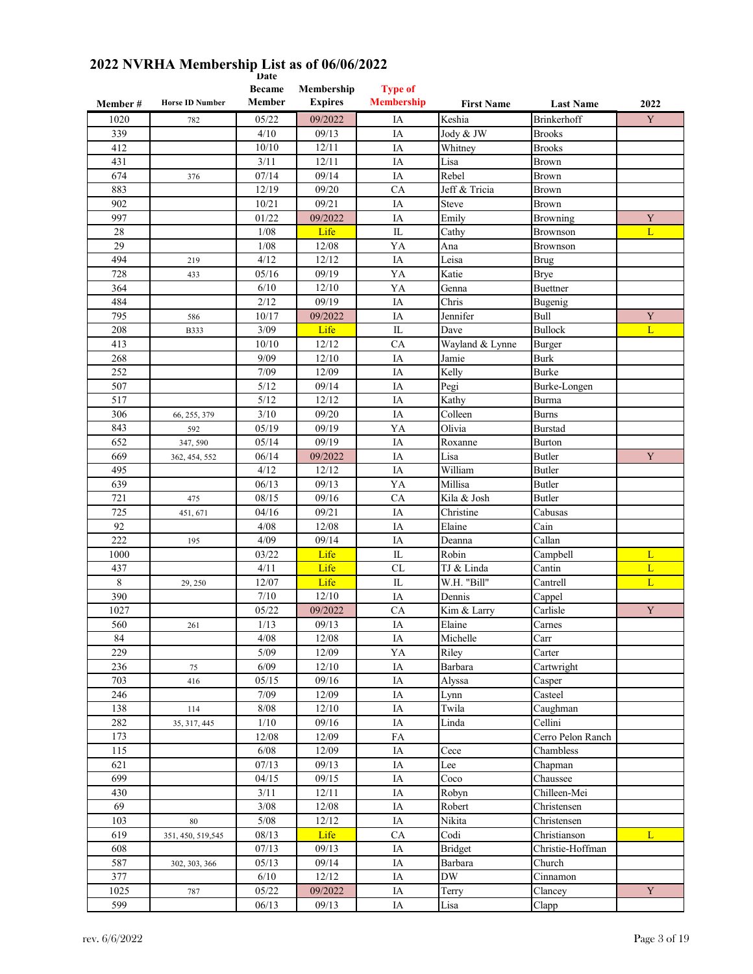| Member# | <b>Horse ID Number</b> | <b>Became</b><br>Member | Membership<br><b>Expires</b> | <b>Type of</b><br><b>Membership</b> | <b>First Name</b> | <b>Last Name</b>             | 2022        |
|---------|------------------------|-------------------------|------------------------------|-------------------------------------|-------------------|------------------------------|-------------|
| 1020    | 782                    | 05/22                   | 09/2022                      | IA                                  | Keshia            | <b>Brinkerhoff</b>           | Y           |
| 339     |                        | 4/10                    | 09/13                        | IA                                  | Jody & JW         | <b>Brooks</b>                |             |
| 412     |                        | 10/10                   | 12/11                        | IA                                  | Whitney           | <b>Brooks</b>                |             |
| 431     |                        | 3/11                    | 12/11                        | IA                                  | Lisa              | Brown                        |             |
| 674     | 376                    | 07/14                   | 09/14                        | IA                                  | Rebel             | Brown                        |             |
| 883     |                        | 12/19                   | 09/20                        | CA                                  | Jeff & Tricia     | Brown                        |             |
| 902     |                        | 10/21                   | 09/21                        | IA                                  | Steve             | Brown                        |             |
| 997     |                        | 01/22                   | 09/2022                      | IA                                  | Emily             | Browning                     | Y           |
| 28      |                        | 1/08                    | Life                         | ${\rm IL}$                          | Cathy             | <b>Brownson</b>              | L           |
| 29      |                        | 1/08                    | 12/08                        | YA                                  | Ana               | <b>Brownson</b>              |             |
| 494     | 219                    | 4/12                    | 12/12                        | IA                                  | Leisa             | <b>Brug</b>                  |             |
| 728     | 433                    | 05/16                   | 09/19                        | YA                                  | Katie             | Brye                         |             |
| 364     |                        | 6/10                    | 12/10                        | YA                                  | Genna             | <b>Buettner</b>              |             |
| 484     |                        | 2/12                    | 09/19                        | IA                                  | Chris             | Bugenig                      |             |
| 795     | 586                    | 10/17                   | 09/2022                      | IA                                  | Jennifer          | Bull                         | $\mathbf Y$ |
| 208     |                        | 3/09                    | Life                         | IL                                  | Dave              | <b>Bullock</b>               | L           |
| 413     | <b>B333</b>            | 10/10                   | 12/12                        | CA                                  | Wayland & Lynne   |                              |             |
| 268     |                        | 9/09                    | 12/10                        | IA                                  | Jamie             | <b>Burger</b><br><b>Burk</b> |             |
|         |                        |                         |                              |                                     |                   |                              |             |
| 252     |                        | 7/09                    | 12/09                        | IA                                  | Kelly             | Burke                        |             |
| 507     |                        | 5/12                    | 09/14                        | IA                                  | Pegi              | Burke-Longen                 |             |
| 517     |                        | 5/12                    | 12/12                        | IA                                  | Kathy             | Burma                        |             |
| 306     | 66, 255, 379           | 3/10                    | 09/20                        | IA                                  | Colleen           | <b>Burns</b>                 |             |
| 843     | 592                    | 05/19                   | 09/19                        | YA                                  | Olivia            | <b>Burstad</b>               |             |
| 652     | 347, 590               | 05/14                   | 09/19                        | IA                                  | Roxanne           | Burton                       |             |
| 669     | 362, 454, 552          | 06/14                   | 09/2022                      | IA                                  | Lisa              | Butler                       | $\mathbf Y$ |
| 495     |                        | 4/12                    | 12/12                        | IA                                  | William           | Butler                       |             |
| 639     |                        | 06/13                   | 09/13                        | YA                                  | Millisa           | <b>Butler</b>                |             |
| 721     | 475                    | 08/15                   | 09/16                        | CA                                  | Kila & Josh       | <b>Butler</b>                |             |
| 725     | 451, 671               | 04/16                   | 09/21                        | IA                                  | Christine         | Cabusas                      |             |
| 92      |                        | 4/08                    | 12/08                        | IA                                  | Elaine            | Cain                         |             |
| 222     | 195                    | 4/09                    | 09/14                        | IA                                  | Deanna            | Callan                       |             |
| 1000    |                        | 03/22                   | Life                         | $\mathop{\mathrm{IL}}\nolimits$     | Robin             | Campbell                     | L           |
| 437     |                        | 4/11                    | Life                         | <b>CL</b>                           | TJ & Linda        | Cantin                       | L           |
| 8       | 29, 250                | 12/07                   | Life                         | IL                                  | W.H. "Bill"       | Cantrell                     | L           |
| 390     |                        | 7/10                    | 12/10                        | IA                                  | Dennis            | Cappel                       |             |
| 1027    |                        | 05/22                   | 09/2022                      | CA                                  | Kim & Larry       | Carlisle                     | $\mathbf Y$ |
| 560     | 261                    | 1/13                    | 09/13                        | IA                                  | Elaine            | Carnes                       |             |
| 84      |                        | 4/08                    | 12/08                        | $\overline{\text{IA}}$              | Michelle          | Carr                         |             |
| 229     |                        | 5/09                    | 12/09                        | YA                                  | Riley             | Carter                       |             |
| 236     | 75                     | 6/09                    | 12/10                        | IA                                  | Barbara           | Cartwright                   |             |
| 703     | 416                    | 05/15                   | 09/16                        | IA                                  | Alyssa            | Casper                       |             |
| 246     |                        | 7/09                    | 12/09                        | IA                                  | Lynn              | Casteel                      |             |
| 138     | 114                    | $8/08$                  | 12/10                        | IA                                  | Twila             | Caughman                     |             |
| 282     | 35, 317, 445           | 1/10                    | 09/16                        | IA                                  | Linda             | Cellini                      |             |
| 173     |                        | 12/08                   | 12/09                        | FA                                  |                   | Cerro Pelon Ranch            |             |
| 115     |                        | 6/08                    | 12/09                        | IA                                  | Cece              | Chambless                    |             |
| 621     |                        | 07/13                   | 09/13                        | IA                                  | Lee               | Chapman                      |             |
| 699     |                        | 04/15                   | 09/15                        | IA                                  | Coco              | Chaussee                     |             |
| 430     |                        | 3/11                    | 12/11                        | IA                                  | Robyn             | Chilleen-Mei                 |             |
| 69      |                        | $3/08$                  | 12/08                        | IA                                  | Robert            | Christensen                  |             |
| 103     | 80                     | $5/08$                  | 12/12                        | $\rm IA$                            | Nikita            | Christensen                  |             |
| 619     | 351, 450, 519, 545     | 08/13                   | Life                         | ${\rm CA}$                          | Codi              | Christianson                 | L           |
| 608     |                        | 07/13                   | 09/13                        | IA                                  | Bridget           | Christie-Hoffman             |             |
| 587     | 302, 303, 366          | 05/13                   | 09/14                        | IA                                  | Barbara           | Church                       |             |
| 377     |                        | 6/10                    | 12/12                        | IA                                  | <b>DW</b>         | Cinnamon                     |             |
| 1025    | 787                    | 05/22                   | 09/2022                      | IA                                  | Terry             | Clancey                      | $\mathbf Y$ |
| 599     |                        | 06/13                   | 09/13                        | IA                                  | Lisa              | Clapp                        |             |
|         |                        |                         |                              |                                     |                   |                              |             |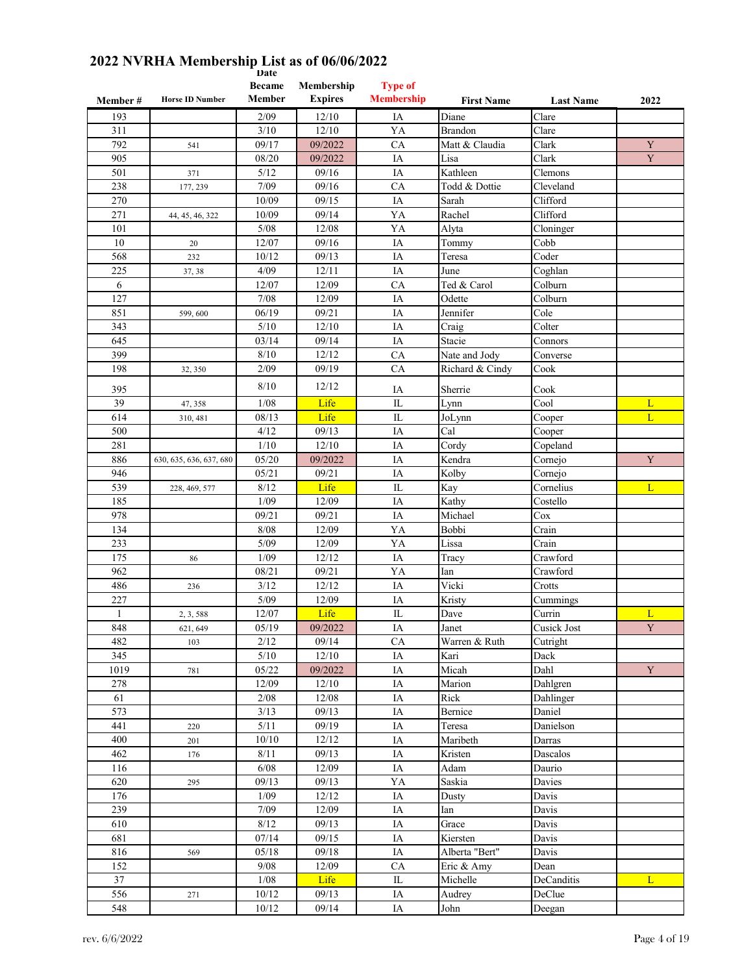| Member #     | <b>Horse ID Number</b>  | <b>Became</b><br>Member | Membership<br><b>Expires</b> | <b>Type of</b><br><b>Membership</b> | <b>First Name</b>         | <b>Last Name</b> | 2022           |
|--------------|-------------------------|-------------------------|------------------------------|-------------------------------------|---------------------------|------------------|----------------|
|              |                         |                         |                              |                                     | Diane                     |                  |                |
| 193          |                         | 2/09                    | 12/10                        | IA                                  |                           | Clare            |                |
| 311<br>792   |                         | 3/10<br>09/17           | 12/10<br>09/2022             | YA<br>CA                            | Brandon<br>Matt & Claudia | Clare<br>Clark   | $\mathbf Y$    |
| 905          | 541                     | 08/20                   | 09/2022                      | IA                                  | Lisa                      | Clark            | $\mathbf Y$    |
| 501          |                         | 5/12                    | 09/16                        | IA                                  | Kathleen                  | Clemons          |                |
| 238          | 371<br>177, 239         | 7/09                    | 09/16                        | CA                                  | Todd & Dottie             | Cleveland        |                |
| 270          |                         | 10/09                   | 09/15                        | IA                                  | Sarah                     | Clifford         |                |
| 271          | 44, 45, 46, 322         | 10/09                   | 09/14                        | YA                                  | Rachel                    | Clifford         |                |
| 101          |                         | 5/08                    | 12/08                        | YA                                  | Alyta                     | Cloninger        |                |
| 10           | 20                      | 12/07                   | 09/16                        | IA                                  | Tommy                     | Cobb             |                |
| 568          | 232                     | 10/12                   | 09/13                        | IA                                  | Teresa                    | Coder            |                |
| 225          | 37, 38                  | 4/09                    | 12/11                        | IA                                  | June                      | Coghlan          |                |
| 6            |                         | 12/07                   | 12/09                        | CA                                  | Ted & Carol               | Colburn          |                |
| 127          |                         | 7/08                    | 12/09                        | IA                                  | Odette                    | Colburn          |                |
| 851          | 599,600                 | 06/19                   | 09/21                        | IA                                  | Jennifer                  | Cole             |                |
| 343          |                         | 5/10                    | 12/10                        | IA                                  | Craig                     | Colter           |                |
| 645          |                         | 03/14                   | 09/14                        | IA                                  | Stacie                    | Connors          |                |
| 399          |                         | 8/10                    | 12/12                        | CA                                  | Nate and Jody             | Converse         |                |
| 198          | 32, 350                 | 2/09                    | 09/19                        | CA                                  | Richard & Cindy           | Cook             |                |
|              |                         |                         |                              |                                     |                           |                  |                |
| 395          |                         | 8/10                    | 12/12                        | IA                                  | Sherrie                   | Cook             |                |
| 39           | 47, 358                 | 1/08                    | Life                         | $\rm IL$                            | Lynn                      | Cool             | L              |
| 614          | 310, 481                | 08/13                   | Life                         | $\mathbf{I}$                        | JoLynn                    | Cooper           | $\overline{L}$ |
| 500          |                         | 4/12                    | 09/13                        | IA                                  | Cal                       | Cooper           |                |
| 281          |                         | 1/10                    | 12/10                        | IA                                  | Cordy                     | Copeland         |                |
| 886          | 630, 635, 636, 637, 680 | 05/20                   | 09/2022                      | IA                                  | Kendra                    | Cornejo          | $\mathbf Y$    |
| 946          |                         | 05/21                   | 09/21                        | IA                                  | Kolby                     | Cornejo          |                |
| 539          | 228, 469, 577           | 8/12                    | Life                         | IL                                  | Kay                       | Cornelius        | L              |
| 185          |                         | 1/09                    | 12/09                        | IA                                  | Kathy                     | Costello         |                |
| 978          |                         | 09/21                   | 09/21                        | IA                                  | Michael                   | Cox              |                |
| 134          |                         | 8/08                    | 12/09                        | YA                                  | Bobbi                     | Crain            |                |
| 233          |                         | 5/09                    | 12/09                        | YA                                  | Lissa                     | Crain            |                |
| 175          | 86                      | 1/09                    | 12/12                        | IA                                  | Tracy                     | Crawford         |                |
| 962          |                         | 08/21                   | 09/21                        | YA                                  | Ian                       | Crawford         |                |
| 486          | 236                     | 3/12                    | 12/12                        | IA                                  | Vicki                     | Crotts           |                |
| 227          |                         | $5/09$                  | 12/09                        | IA                                  | Kristy                    | Cummings         |                |
| $\mathbf{1}$ | 2, 3, 588               | 12/07                   | Life                         | $_{\rm IL}$                         | Dave                      | Currin           | L              |
| 848          | 621, 649                | 05/19                   | 09/2022                      | IA                                  | Janet                     | Cusick Jost      | $\mathbf Y$    |
| 482          | 103                     | 2/12                    | 09/14                        | CA                                  | Warren & Ruth             | Cutright         |                |
| 345          |                         | 5/10                    | $12/10$                      | $\rm IA$                            | Kari                      | Dack             |                |
| 1019         | 781                     | 05/22                   | 09/2022                      | IA                                  | Micah                     | Dahl             | Y              |
| 278          |                         | 12/09                   | 12/10                        | $\rm IA$                            | Marion                    | Dahlgren         |                |
| 61           |                         | 2/08                    | 12/08                        | $\rm IA$                            | Rick                      | Dahlinger        |                |
| 573          |                         | 3/13                    | 09/13                        | IA                                  | Bernice                   | Daniel           |                |
| 441          | 220                     | 5/11                    | 09/19                        | IA                                  | Teresa                    | Danielson        |                |
| 400          | 201                     | 10/10                   | 12/12                        | IA                                  | Maribeth                  | Darras           |                |
| 462          | 176                     | $8/11$                  | 09/13                        | IA                                  | Kristen                   | Dascalos         |                |
| 116          |                         | 6/08                    | 12/09                        | $\rm IA$                            | Adam                      | Daurio           |                |
| 620          | 295                     | 09/13                   | 09/13                        | YA                                  | Saskia                    | Davies           |                |
| 176          |                         | 1/09                    | 12/12                        | IA                                  | Dusty                     | Davis            |                |
| 239          |                         | 7/09                    | 12/09                        | IA                                  | Ian                       | Davis            |                |
| 610          |                         | 8/12                    | 09/13                        | IA                                  | Grace                     | Davis            |                |
| 681          |                         | 07/14                   | 09/15                        | IA                                  | Kiersten                  | Davis            |                |
| 816          | 569                     | 05/18                   | 09/18                        | IA                                  | Alberta "Bert"            | Davis            |                |
| 152          |                         | 9/08                    | 12/09                        | CA                                  | Eric & Amy                | Dean             |                |
| 37           |                         | 1/08                    | Life                         | IL                                  | Michelle                  | DeCanditis       | L              |
| 556          | 271                     | 10/12                   | 09/13                        | IA                                  | Audrey                    | DeClue           |                |
| 548          |                         | 10/12                   | 09/14                        | IA                                  | John                      | Deegan           |                |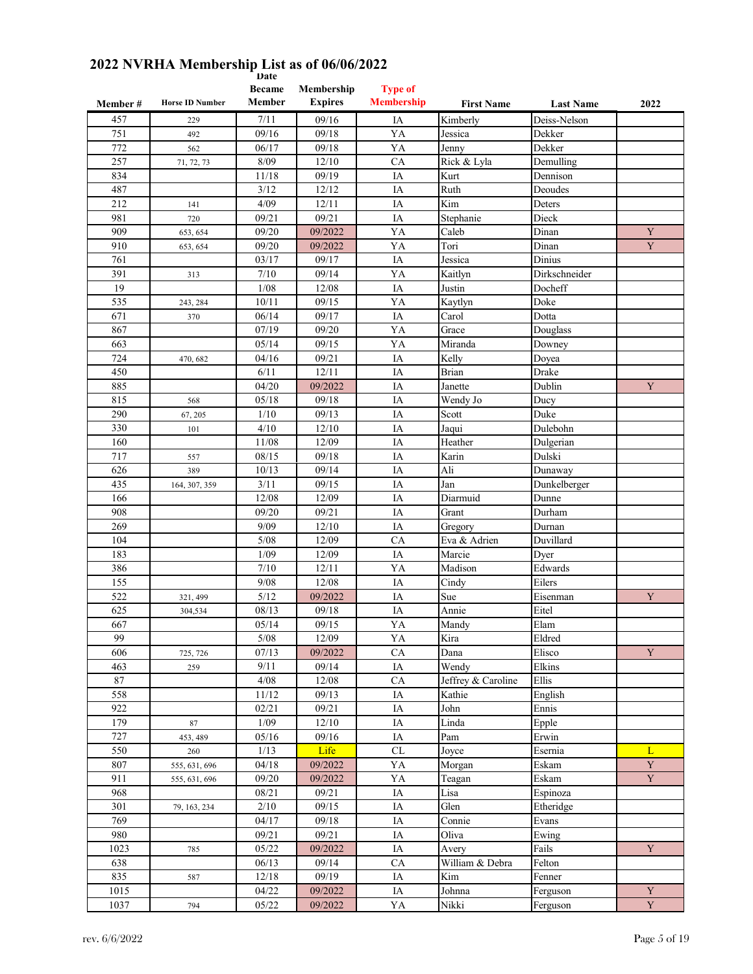| Member #   | <b>Horse ID Number</b> | vale<br><b>Became</b><br>Member | Membership<br><b>Expires</b> | <b>Type of</b><br><b>Membership</b> | <b>First Name</b>  | <b>Last Name</b> | 2022        |
|------------|------------------------|---------------------------------|------------------------------|-------------------------------------|--------------------|------------------|-------------|
| 457        | 229                    | 7/11                            | 09/16                        | IA                                  | Kimberly           | Deiss-Nelson     |             |
| 751        | 492                    | 09/16                           | 09/18                        | YA                                  | Jessica            | Dekker           |             |
| 772        | 562                    | 06/17                           | 09/18                        | YA                                  | Jenny              | Dekker           |             |
| 257        | 71, 72, 73             | 8/09                            | 12/10                        | CA                                  | Rick & Lyla        | Demulling        |             |
| 834        |                        | 11/18                           | 09/19                        | IA                                  | Kurt               | Dennison         |             |
| 487        |                        | 3/12                            | 12/12                        | IA                                  | Ruth               | Deoudes          |             |
| 212        | 141                    | 4/09                            | 12/11                        | IA                                  | Kim                | Deters           |             |
| 981        | 720                    | 09/21                           | 09/21                        | IA                                  | Stephanie          | Dieck            |             |
| 909        | 653, 654               | 09/20                           | 09/2022                      | YA                                  | Caleb              | Dinan            | $\mathbf Y$ |
| 910        | 653, 654               | 09/20                           | 09/2022                      | YA                                  | Tori               | Dinan            | Y           |
| 761        |                        | 03/17                           | 09/17                        | IA                                  | Jessica            | Dinius           |             |
| 391        | 313                    | 7/10                            | 09/14                        | YA                                  | Kaitlyn            | Dirkschneider    |             |
| 19         |                        | 1/08                            | 12/08                        | IA                                  | Justin             | Docheff          |             |
| 535        |                        | 10/11                           | 09/15                        | YA                                  | Kaytlyn            | Doke             |             |
| 671        | 243, 284<br>370        | 06/14                           | 09/17                        | IA                                  | Carol              | Dotta            |             |
| 867        |                        | 07/19                           |                              |                                     |                    | Douglass         |             |
| 663        |                        | 05/14                           | 09/20<br>09/15               | YA<br>YA                            | Grace<br>Miranda   |                  |             |
| 724        |                        | 04/16                           | 09/21                        | IA                                  | Kelly              | Downey<br>Doyea  |             |
|            | 470, 682               | 6/11                            | 12/11                        |                                     | <b>Brian</b>       | Drake            |             |
| 450<br>885 |                        | 04/20                           | 09/2022                      | IA<br>IA                            | Janette            | Dublin           | Y           |
|            |                        |                                 |                              |                                     |                    |                  |             |
| 815        | 568                    | 05/18                           | 09/18                        | IA                                  | Wendy Jo           | Ducy<br>Duke     |             |
| 290        | 67, 205                | 1/10                            | 09/13                        | IA                                  | Scott              |                  |             |
| 330        | 101                    | 4/10                            | 12/10                        | IA                                  | Jaqui              | Dulebohn         |             |
| 160        |                        | 11/08                           | 12/09                        | IA                                  | Heather            | Dulgerian        |             |
| 717        | 557                    | 08/15                           | 09/18                        | IA                                  | Karin              | Dulski           |             |
| 626        | 389                    | 10/13                           | 09/14                        | IA                                  | Ali                | Dunaway          |             |
| 435        | 164, 307, 359          | 3/11                            | 09/15                        | IA                                  | Jan                | Dunkelberger     |             |
| 166        |                        | 12/08                           | 12/09                        | IA                                  | Diarmuid           | Dunne            |             |
| 908        |                        | 09/20                           | 09/21                        | IA                                  | Grant              | Durham           |             |
| 269        |                        | 9/09                            | 12/10                        | IA                                  | Gregory            | Durnan           |             |
| 104        |                        | 5/08                            | 12/09                        | CA                                  | Eva & Adrien       | Duvillard        |             |
| 183        |                        | 1/09                            | 12/09                        | IA                                  | Marcie             | Dyer             |             |
| 386        |                        | $7/10$                          | 12/11                        | YA                                  | Madison            | Edwards          |             |
| 155        |                        | 9/08                            | 12/08                        | IA                                  | Cindy              | Eilers           |             |
| 522        | 321, 499               | 5/12                            | 09/2022                      | IA                                  | Sue                | Eisenman         | Y           |
| 625        | 304,534                | 08/13                           | 09/18                        | IA                                  | Annie              | Eitel            |             |
| 667        |                        | 05/14                           | 09/15                        | YA                                  | Mandy              | Elam             |             |
| 99         |                        | $5/08$                          | 12/09                        | YA                                  | Kira               | Eldred           |             |
| 606        | 725, 726               | 07/13                           | 09/2022                      | ${\rm CA}$                          | Dana               | Elisco           | $\mathbf Y$ |
| 463        | 259                    | 9/11                            | 09/14                        | IA                                  | Wendy              | Elkins           |             |
| 87         |                        | 4/08                            | 12/08                        | CA                                  | Jeffrey & Caroline | Ellis            |             |
| 558        |                        | 11/12                           | 09/13                        | IA                                  | Kathie             | English          |             |
| 922        |                        | 02/21                           | 09/21                        | IA                                  | John               | Ennis            |             |
| 179        | 87                     | 1/09                            | 12/10                        | IA                                  | Linda              | Epple            |             |
| 727        | 453, 489               | 05/16                           | 09/16                        | IA                                  | Pam                | Erwin            |             |
| 550        | 260                    | 1/13                            | Life                         | $\ensuremath{\textup{CL}}\xspace$   | Joyce              | Esernia          | L           |
| 807        | 555, 631, 696          | 04/18                           | 09/2022                      | YA                                  | Morgan             | Eskam            | $\mathbf Y$ |
| 911        | 555, 631, 696          | 09/20                           | 09/2022                      | YA                                  | Teagan             | Eskam            | $\mathbf Y$ |
| 968        |                        | 08/21                           | 09/21                        | IA                                  | Lisa               | Espinoza         |             |
| 301        | 79, 163, 234           | 2/10                            | 09/15                        | $\rm IA$                            | Glen               | Etheridge        |             |
| 769        |                        | 04/17                           | 09/18                        | IA                                  | Connie             | Evans            |             |
| 980        |                        | 09/21                           | 09/21                        | IA                                  | Oliva              | Ewing            |             |
| 1023       | 785                    | 05/22                           | 09/2022                      | IA                                  | Avery              | Fails            | $\mathbf Y$ |
| 638        |                        | 06/13                           | 09/14                        | CA                                  | William & Debra    | Felton           |             |
| 835        | 587                    | 12/18                           | 09/19                        | IA                                  | Kim                | Fenner           |             |
| 1015       |                        | 04/22                           | 09/2022                      | IA                                  | Johnna             | Ferguson         | Y           |
| 1037       | 794                    | 05/22                           | 09/2022                      | YA                                  | Nikki              | Ferguson         | $\mathbf Y$ |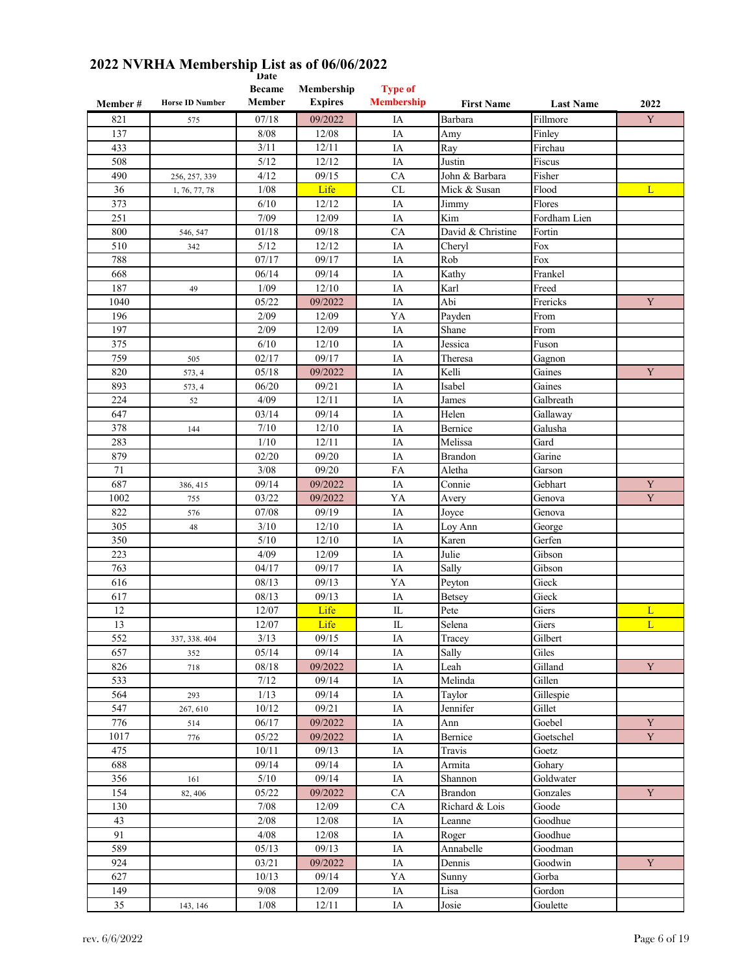|          |                        | Date<br><b>Became</b> | Membership     | <b>Type of</b>    |                   |                  |             |
|----------|------------------------|-----------------------|----------------|-------------------|-------------------|------------------|-------------|
| Member # | <b>Horse ID Number</b> | Member                | <b>Expires</b> | <b>Membership</b> | <b>First Name</b> | <b>Last Name</b> | 2022        |
| 821      | 575                    | 07/18                 | 09/2022        | IA                | Barbara           | Fillmore         | Y           |
| 137      |                        | 8/08                  | 12/08          | IA                | Amy               | Finley           |             |
| 433      |                        | 3/11                  | 12/11          | IA                | Ray               | Firchau          |             |
| 508      |                        | 5/12                  | 12/12          | IA                | Justin            | Fiscus           |             |
| 490      | 256, 257, 339          | 4/12                  | 09/15          | CA                | John & Barbara    | Fisher           |             |
| 36       | 1, 76, 77, 78          | 1/08                  | Life           | CL                | Mick & Susan      | Flood            | L           |
| 373      |                        | 6/10                  | 12/12          | IA                | Jimmy             | Flores           |             |
| 251      |                        | 7/09                  | 12/09          | IA                | Kim               | Fordham Lien     |             |
| 800      | 546, 547               | 01/18                 | 09/18          | CA                | David & Christine | Fortin           |             |
| 510      | 342                    | 5/12                  | 12/12          | IA                | Cheryl            | Fox              |             |
| 788      |                        | 07/17                 | 09/17          | IA                | Rob               | Fox              |             |
| 668      |                        | 06/14                 | 09/14          | IA                | Kathy             | Frankel          |             |
| 187      | 49                     | 1/09                  | 12/10          | IA                | Karl              | Freed            |             |
| 1040     |                        | 05/22                 | 09/2022        | IA                | Abi               | Frericks         | $\mathbf Y$ |
| 196      |                        | 2/09                  | 12/09          | YA                | Payden            | From             |             |
| 197      |                        | 2/09                  | 12/09          | IA                | Shane             | From             |             |
| 375      |                        | 6/10                  | 12/10          | IA                | Jessica           | Fuson            |             |
| 759      | 505                    | 02/17                 | 09/17          | IA                | Theresa           | Gagnon           |             |
| 820      | 573, 4                 | 05/18                 | 09/2022        | IA                | Kelli             | Gaines           | Y           |
| 893      | 573, 4                 | 06/20                 | 09/21          | IA                | Isabel            | Gaines           |             |
| 224      | 52                     | 4/09                  | 12/11          | IA                | James             | Galbreath        |             |
| 647      |                        | 03/14                 | 09/14          | IA                | Helen             | Gallaway         |             |
| 378      | 144                    | 7/10                  | 12/10          | IA                | Bernice           | Galusha          |             |
| 283      |                        | 1/10                  | 12/11          | IA                | Melissa           | Gard             |             |
| 879      |                        | 02/20                 | 09/20          | IA                | <b>Brandon</b>    | Garine           |             |
| 71       |                        | 3/08                  | 09/20          | FA                | Aletha            | Garson           |             |
| 687      | 386, 415               | 09/14                 | 09/2022        | IA                | Connie            | Gebhart          | Y           |
| 1002     | 755                    | 03/22                 | 09/2022        | YA                | Avery             | Genova           | $\mathbf Y$ |
| 822      | 576                    | 07/08                 | 09/19          | IA                | Joyce             | Genova           |             |
| 305      | 48                     | 3/10                  | 12/10          | IA                | Loy Ann           | George           |             |
| 350      |                        | 5/10                  | 12/10          | IA                | Karen             | Gerfen           |             |
| 223      |                        | 4/09                  | 12/09          | IA                | Julie             | Gibson           |             |
| 763      |                        | 04/17                 | 09/17          | IA                | Sally             | Gibson           |             |
| 616      |                        | 08/13                 | 09/13          | YA                | Peyton            | Gieck            |             |
| 617      |                        | 08/13                 | 09/13          | IA                | <b>Betsey</b>     | Gieck            |             |
| 12       |                        | 12/07                 | Life           | $\mathbb{L}$      | Pete              | Giers            | L           |
| 13       |                        | 12/07                 | Life           | ${\rm IL}$        | Selena            | Giers            | L           |
| 552      | 337, 338.404           | 3/13                  | 09/15          | IA                | Tracey            | Gilbert          |             |
| 657      | 352                    | 05/14                 | 09/14          | IA                | Sally             | Giles            |             |
| 826      | 718                    | 08/18                 | 09/2022        | IA                | Leah              | Gilland          | Y           |
| 533      |                        | 7/12                  | 09/14          | IA                | Melinda           | Gillen           |             |
| 564      | 293                    | 1/13                  | 09/14          | IA                | Taylor            | Gillespie        |             |
| 547      | 267, 610               | 10/12                 | 09/21          | IA                | Jennifer          | Gillet           |             |
| 776      | 514                    | 06/17                 | 09/2022        | IA                | Ann               | Goebel           | $\mathbf Y$ |
| 1017     | 776                    | 05/22                 | 09/2022        | IA                | Bernice           | Goetschel        | $\mathbf Y$ |
| 475      |                        | 10/11                 | 09/13          | IA                | Travis            | Goetz            |             |
| 688      |                        | 09/14                 | 09/14          | IA                | Armita            | Gohary           |             |
| 356      | 161                    | 5/10                  | 09/14          | IA                | Shannon           | Goldwater        |             |
| 154      | 82, 406                | 05/22                 | 09/2022        | ${\rm CA}$        | Brandon           | Gonzales         | Y           |
| 130      |                        | 7/08                  | 12/09          | CA                | Richard & Lois    | Goode            |             |
| 43       |                        | 2/08                  | 12/08          | IA                | Leanne            | Goodhue          |             |
| 91       |                        | 4/08                  | 12/08          | IA                | Roger             | Goodhue          |             |
| 589      |                        | 05/13                 | 09/13          | IA                | Annabelle         | Goodman          |             |
| 924      |                        | 03/21                 | 09/2022        | IA                | Dennis            | Goodwin          | $\mathbf Y$ |
| 627      |                        | 10/13                 | 09/14          | YA                | Sunny             | Gorba            |             |
| 149      |                        | 9/08                  | 12/09          | IA                | Lisa              | Gordon           |             |
| 35       | 143, 146               | 1/08                  | 12/11          | IA                | Josie             | Goulette         |             |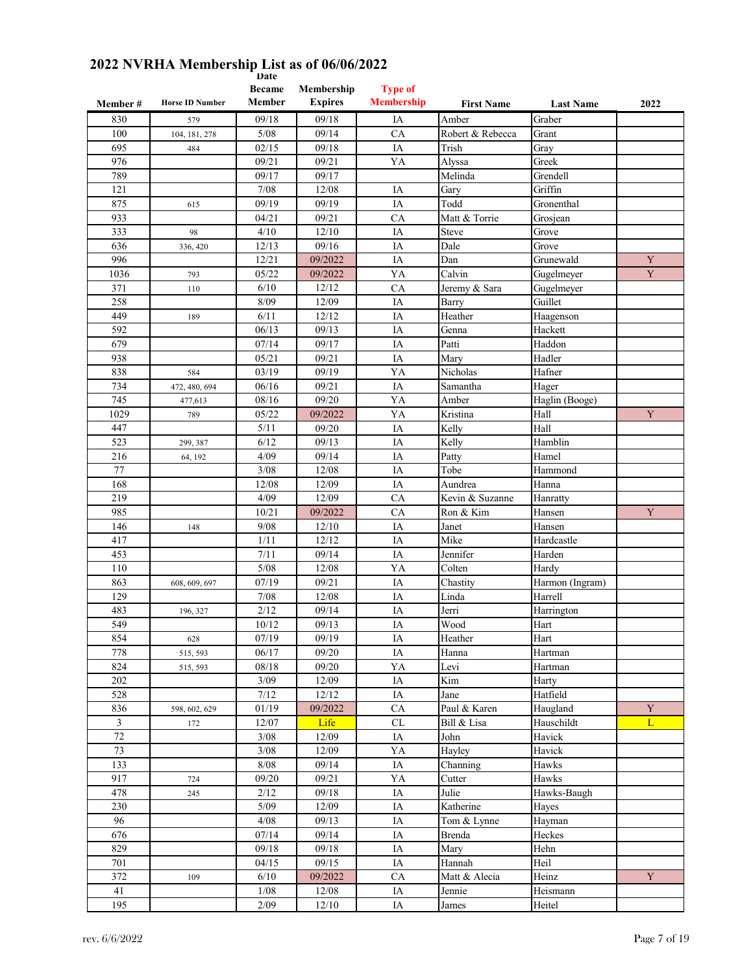| Member#        | <b>Horse ID Number</b> | <b>Became</b><br>Member | Membership<br><b>Expires</b> | <b>Type of</b><br><b>Membership</b> | <b>First Name</b> | <b>Last Name</b> | 2022        |
|----------------|------------------------|-------------------------|------------------------------|-------------------------------------|-------------------|------------------|-------------|
| 830            | 579                    | 09/18                   | 09/18                        | IA                                  | Amber             | Graber           |             |
| 100            | 104, 181, 278          | 5/08                    | 09/14                        | CA                                  | Robert & Rebecca  | Grant            |             |
| 695            | 484                    | 02/15                   | 09/18                        | IA                                  | Trish             | Gray             |             |
| 976            |                        | 09/21                   | 09/21                        | YA                                  | Alyssa            | Greek            |             |
| 789            |                        | 09/17                   | 09/17                        |                                     | Melinda           | Grendell         |             |
| 121            |                        | 7/08                    | 12/08                        | IA                                  | Gary              | Griffin          |             |
| 875            | 615                    | 09/19                   | 09/19                        | IA                                  | Todd              | Gronenthal       |             |
| 933            |                        | 04/21                   | 09/21                        | CA                                  | Matt & Torrie     | Grosjean         |             |
| 333            | 98                     | 4/10                    | 12/10                        | IA                                  | <b>Steve</b>      | Grove            |             |
| 636            | 336, 420               | 12/13                   | 09/16                        | IA                                  | Dale              | Grove            |             |
| 996            |                        | 12/21                   | 09/2022                      | IA                                  | Dan               | Grunewald        | $\mathbf Y$ |
| 1036           | 793                    | 05/22                   | 09/2022                      | YA                                  | Calvin            | Gugelmeyer       | $\mathbf Y$ |
| 371            | 110                    | 6/10                    | 12/12                        | CA                                  | Jeremy & Sara     | Gugelmeyer       |             |
| 258            |                        | 8/09                    | 12/09                        | IA                                  | Barry             | Guillet          |             |
| 449            | 189                    | 6/11                    | 12/12                        | IA                                  | Heather           | Haagenson        |             |
| 592            |                        | 06/13                   | 09/13                        | IA                                  | Genna             | Hackett          |             |
| 679            |                        | 07/14                   | 09/17                        | IA                                  | Patti             | Haddon           |             |
| 938            |                        | 05/21                   | 09/21                        | IA                                  | Mary              | Hadler           |             |
| 838            | 584                    | 03/19                   | 09/19                        | YA                                  | Nicholas          | Hafner           |             |
| 734            | 472, 480, 694          | 06/16                   | 09/21                        | IA                                  | Samantha          | Hager            |             |
| 745            | 477,613                | 08/16                   | 09/20                        | YA                                  | Amber             | Haglin (Booge)   |             |
| 1029           | 789                    | 05/22                   | 09/2022                      | YA                                  | Kristina          | Hall             | Y           |
| 447            |                        | 5/11                    | 09/20                        | IA                                  | Kelly             | Hall             |             |
| 523            | 299, 387               | 6/12                    | 09/13                        | IA                                  | Kelly             | Hamblin          |             |
| 216            | 64, 192                | 4/09                    | 09/14                        | IA                                  | Patty             | Hamel            |             |
| 77             |                        | 3/08                    | 12/08                        | IA                                  | Tobe              | Hammond          |             |
| 168            |                        | 12/08                   | 12/09                        | IA                                  | Aundrea           | Hanna            |             |
| 219            |                        | 4/09                    | 12/09                        | CA                                  | Kevin & Suzanne   | Hanratty         |             |
| 985            |                        | 10/21                   | 09/2022                      | CA                                  | Ron & Kim         | Hansen           | $\mathbf Y$ |
| 146            | 148                    | 9/08                    | 12/10                        | IA                                  | Janet             | Hansen           |             |
| 417            |                        | 1/11                    | 12/12                        | IA                                  | Mike              | Hardcastle       |             |
| 453            |                        | 7/11                    | 09/14                        | IA                                  | Jennifer          | Harden           |             |
| 110            |                        | 5/08                    | 12/08                        | YA                                  | Colten            | Hardy            |             |
| 863            | 608, 609, 697          | 07/19                   | 09/21                        | IA                                  | Chastity          | Harmon (Ingram)  |             |
| 129            |                        | 7/08                    | 12/08                        | IA                                  | Linda             | Harrell          |             |
| 483            | 196, 327               | 2/12                    | 09/14                        | IA                                  | Jerri             | Harrington       |             |
| 549            |                        | 10/12                   | 09/13                        | IA                                  | Wood              | Hart             |             |
| 854            | 628                    | 07/19                   | 09/19                        | IA                                  | Heather           | Hart             |             |
| 778            | 515, 593               | 06/17                   | 09/20                        | $\rm IA$                            | Hanna             | Hartman          |             |
| 824            | 515, 593               | 08/18                   | 09/20                        | YA                                  | Levi              | Hartman          |             |
| 202            |                        | 3/09                    | 12/09                        | IA                                  | Kim               | Harty            |             |
| 528            |                        | 7/12                    | 12/12                        | IA                                  | Jane              | Hatfield         |             |
| 836            | 598, 602, 629          | 01/19                   | 09/2022                      | ${\rm CA}$                          | Paul & Karen      | Haugland         | $\mathbf Y$ |
| $\mathfrak{Z}$ | 172                    | 12/07                   | Life                         | $\ensuremath{\text{CL}}\xspace$     | Bill & Lisa       | Hauschildt       | L           |
| $72\,$         |                        | 3/08                    | 12/09                        | IA                                  | John              | Havick           |             |
| 73             |                        | $3/08$                  | 12/09                        | YA                                  | Hayley            | Havick           |             |
| 133            |                        | $8/08$                  | 09/14                        | $\rm IA$                            | Channing          | Hawks            |             |
| 917            | 724                    | 09/20                   | 09/21                        | YA                                  | Cutter            | Hawks            |             |
| 478            | 245                    | 2/12                    | 09/18                        | IA                                  | Julie             | Hawks-Baugh      |             |
| 230            |                        | 5/09                    | 12/09                        | IA                                  | Katherine         | Hayes            |             |
| 96             |                        | 4/08                    | 09/13                        | IA                                  | Tom & Lynne       | Hayman           |             |
| 676            |                        | 07/14                   | 09/14                        | IA                                  | <b>Brenda</b>     | Heckes           |             |
| 829            |                        | 09/18                   | 09/18                        | IA                                  | Mary              | Hehn             |             |
| 701            |                        | 04/15                   | 09/15                        | IA                                  | Hannah            | Heil             |             |
| 372            | 109                    | 6/10                    | 09/2022                      | CA                                  | Matt & Alecia     | Heinz            | $\mathbf Y$ |
| 41             |                        | 1/08                    | 12/08                        | IA                                  | Jennie            | Heismann         |             |
| 195            |                        | 2/09                    | $12/10$                      | IA                                  | James             | Heitel           |             |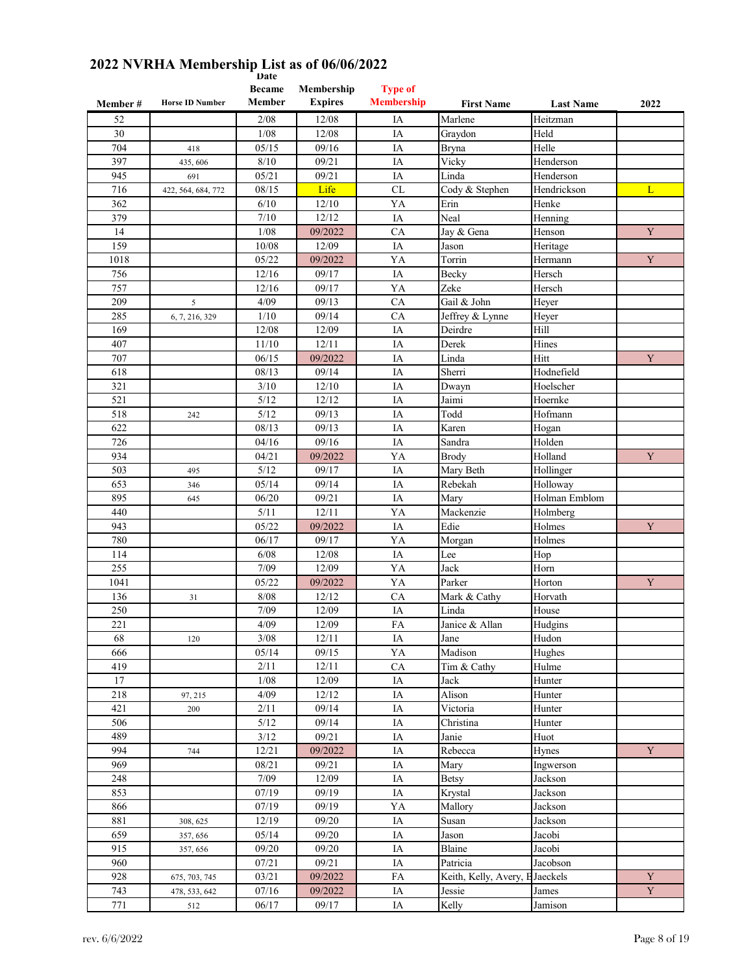| Member# | <b>Horse ID Number</b> | <b>Became</b><br>Member | Membership<br><b>Expires</b> | <b>Type of</b><br><b>Membership</b> | <b>First Name</b>      | <b>Last Name</b> | 2022        |
|---------|------------------------|-------------------------|------------------------------|-------------------------------------|------------------------|------------------|-------------|
| 52      |                        | 2/08                    | 12/08                        | IA                                  | Marlene                | Heitzman         |             |
| 30      |                        | 1/08                    | 12/08                        | IA                                  | Graydon                | Held             |             |
| 704     | 418                    | 05/15                   | 09/16                        | IA                                  | <b>Bryna</b>           | Helle            |             |
| 397     | 435,606                | 8/10                    | 09/21                        | IA                                  | Vicky                  | Henderson        |             |
| 945     | 691                    | 05/21                   | 09/21                        | IA                                  | Linda                  | Henderson        |             |
| 716     | 422, 564, 684, 772     | 08/15                   | Life                         | CL                                  | Cody & Stephen         | Hendrickson      | L           |
| 362     |                        | 6/10                    | 12/10                        | YA                                  | Erin                   | Henke            |             |
| 379     |                        | 7/10                    | 12/12                        | IA                                  | Neal                   | Henning          |             |
| 14      |                        | 1/08                    | 09/2022                      | CA                                  | Jay & Gena             | Henson           | Y           |
| 159     |                        | 10/08                   | 12/09                        | IA                                  | Jason                  | Heritage         |             |
| 1018    |                        | 05/22                   | 09/2022                      | YA                                  | Torrin                 | Hermann          | Y           |
| 756     |                        | 12/16                   | 09/17                        | IA                                  | Becky                  | Hersch           |             |
| 757     |                        | 12/16                   | 09/17                        | YA                                  | Zeke                   | Hersch           |             |
| 209     | 5                      | 4/09                    | 09/13                        | CA                                  | Gail & John            | Heyer            |             |
| 285     | 6, 7, 216, 329         | 1/10                    | 09/14                        | CA                                  | Jeffrey & Lynne        | Heyer            |             |
| 169     |                        | 12/08                   | 12/09                        | IA                                  | Deirdre                | Hill             |             |
| 407     |                        | 11/10                   | 12/11                        | IA                                  | Derek                  | Hines            |             |
| 707     |                        | 06/15                   | 09/2022                      | IA                                  | Linda                  | Hitt             | Y           |
| 618     |                        | 08/13                   | 09/14                        | IA                                  | Sherri                 | Hodnefield       |             |
| 321     |                        | 3/10                    | 12/10                        | IA                                  | Dwayn                  | Hoelscher        |             |
| 521     |                        | 5/12                    | 12/12                        | IA                                  | Jaimi                  | Hoernke          |             |
| 518     | 242                    | 5/12                    | 09/13                        | IA                                  | Todd                   | Hofmann          |             |
| 622     |                        | 08/13                   | 09/13                        | IA                                  | Karen                  | Hogan            |             |
| 726     |                        | 04/16                   | 09/16                        | IA                                  | Sandra                 | Holden           |             |
| 934     |                        | 04/21                   | 09/2022                      | YA                                  | Brody                  | Holland          | $\mathbf Y$ |
| 503     | 495                    | 5/12                    | 09/17                        | IA                                  | Mary Beth              | Hollinger        |             |
| 653     | 346                    | 05/14                   | 09/14                        | IA                                  | Rebekah                | Holloway         |             |
| 895     | 645                    | 06/20                   | 09/21                        | IA                                  | Mary                   | Holman Emblom    |             |
| 440     |                        | 5/11                    | 12/11                        | YA                                  | Mackenzie              | Holmberg         |             |
| 943     |                        | 05/22                   | 09/2022                      | IA                                  | Edie                   | Holmes           | Y           |
| 780     |                        | 06/17                   | 09/17                        | YA                                  | Morgan                 | Holmes           |             |
| 114     |                        | 6/08                    | 12/08                        | IA                                  | Lee                    | Hop              |             |
| 255     |                        | 7/09                    | 12/09                        | YA                                  | Jack                   | Horn             |             |
| 1041    |                        | 05/22                   | 09/2022                      | YA                                  | Parker                 | Horton           | Y           |
| 136     | 31                     | 8/08                    | 12/12                        | CA                                  | Mark & Cathy           | Horvath          |             |
| 250     |                        | 7/09                    | 12/09                        | IA                                  | Linda                  | House            |             |
| 221     |                        | 4/09                    | 12/09                        | FA                                  | Janice & Allan         | Hudgins          |             |
| 68      | 120                    | $3/08$                  | 12/11                        | IA                                  | Jane                   | Hudon            |             |
| 666     |                        | 05/14                   | 09/15                        | YA                                  | Madison                | Hughes           |             |
| 419     |                        | 2/11                    | 12/11                        | ${\rm CA}$                          | Tim & Cathy            | Hulme            |             |
| 17      |                        | $1/08$                  | 12/09                        | IA                                  | Jack                   | Hunter           |             |
| 218     | 97, 215                | 4/09                    | 12/12                        | IA                                  | Alison                 | Hunter           |             |
| 421     | 200                    | 2/11                    | 09/14                        | IA                                  | Victoria               | Hunter           |             |
| 506     |                        | $5/12$                  | 09/14                        | IA                                  | Christina              | Hunter           |             |
| 489     |                        | 3/12                    | 09/21                        | IA                                  | Janie                  | Huot             |             |
| 994     | 744                    | 12/21                   | 09/2022                      | IA                                  | Rebecca                | Hynes            | Y           |
| 969     |                        | 08/21                   | 09/21                        | $\rm IA$                            | Mary                   | Ingwerson        |             |
| 248     |                        | 7/09                    | 12/09                        | $\rm IA$                            | Betsy                  | Jackson          |             |
| 853     |                        | 07/19                   | 09/19                        | IA                                  | Krystal                | Jackson          |             |
| 866     |                        | 07/19                   | 09/19                        | YA                                  | Mallory                | Jackson          |             |
| 881     | 308, 625               | 12/19                   | 09/20                        | IA                                  | Susan                  | Jackson          |             |
| 659     | 357, 656               | 05/14                   | 09/20                        | IA                                  | Jason                  | Jacobi           |             |
| 915     | 357, 656               | 09/20                   | 09/20                        | IA                                  | Blaine                 | Jacobi           |             |
| 960     |                        | 07/21                   | 09/21                        | IA                                  | Patricia               | Jacobson         |             |
| 928     | 675, 703, 745          | 03/21                   | 09/2022                      | FA                                  | Keith, Kelly, Avery, I | Jaeckels         | $\mathbf Y$ |
| 743     | 478, 533, 642          | 07/16                   | 09/2022                      | IA                                  | Jessie                 | James            | $\mathbf Y$ |
| 771     | 512                    | 06/17                   | 09/17                        | $\rm IA$                            | Kelly                  | Jamison          |             |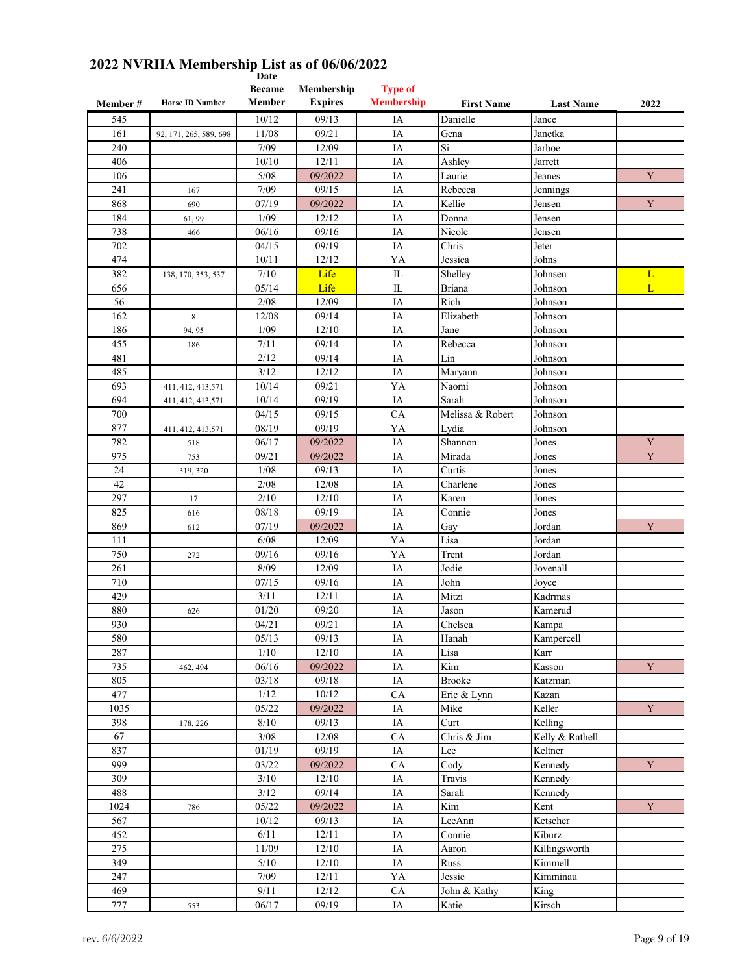| Member# | <b>Horse ID Number</b> | <b>Became</b><br>Member | Membership<br><b>Expires</b> | <b>Type of</b><br><b>Membership</b> | <b>First Name</b> | <b>Last Name</b> | 2022        |
|---------|------------------------|-------------------------|------------------------------|-------------------------------------|-------------------|------------------|-------------|
| 545     |                        | 10/12                   | 09/13                        | IA                                  | Danielle          | Jance            |             |
| 161     | 92, 171, 265, 589, 698 | 11/08                   | 09/21                        | IA                                  | Gena              | Janetka          |             |
| 240     |                        | 7/09                    | 12/09                        | IA                                  | Si                | Jarboe           |             |
| 406     |                        | 10/10                   | 12/11                        | IA                                  | Ashley            | Jarrett          |             |
| 106     |                        | 5/08                    | 09/2022                      | IA                                  | Laurie            | Jeanes           | Y           |
| 241     | 167                    | 7/09                    | 09/15                        | IA                                  | Rebecca           | Jennings         |             |
| 868     | 690                    | 07/19                   | 09/2022                      | IA                                  | Kellie            | Jensen           | Y           |
| 184     | 61,99                  | 1/09                    | 12/12                        | IA                                  | Donna             | Jensen           |             |
| 738     | 466                    | 06/16                   | 09/16                        | IA                                  | Nicole            | Jensen           |             |
| 702     |                        | 04/15                   | 09/19                        | IA                                  | Chris             | Jeter            |             |
| 474     |                        | 10/11                   | 12/12                        | YA                                  | Jessica           | Johns            |             |
| 382     | 138, 170, 353, 537     | 7/10                    | Life                         | IL                                  | Shelley           | Johnsen          | L           |
| 656     |                        | 05/14                   | Life                         | IL                                  | <b>Briana</b>     | Johnson          | L           |
| 56      |                        | 2/08                    | 12/09                        | IA                                  | Rich              | Johnson          |             |
| 162     | $\,$ 8 $\,$            | 12/08                   | 09/14                        | IA                                  | Elizabeth         | Johnson          |             |
| 186     | 94, 95                 | 1/09                    | 12/10                        | IA                                  | Jane              | Johnson          |             |
| 455     | 186                    | 7/11                    | 09/14                        | IA                                  | Rebecca           | Johnson          |             |
| 481     |                        | 2/12                    | 09/14                        | IA                                  | Lin               | Johnson          |             |
| 485     |                        | 3/12                    | 12/12                        | IA                                  | Maryann           | Johnson          |             |
| 693     | 411, 412, 413, 571     | 10/14                   | 09/21                        | YA                                  | Naomi             | Johnson          |             |
| 694     |                        | 10/14                   | 09/19                        | IA                                  | Sarah             | Johnson          |             |
| 700     | 411, 412, 413, 571     | 04/15                   | 09/15                        | CA                                  | Melissa & Robert  | Johnson          |             |
| 877     | 411, 412, 413, 571     | 08/19                   | 09/19                        | YA                                  | Lydia             | Johnson          |             |
| 782     | 518                    | 06/17                   | 09/2022                      | IA                                  | Shannon           | Jones            | Y           |
| 975     | 753                    | 09/21                   | 09/2022                      | IA                                  | Mirada            | Jones            | $\mathbf Y$ |
| 24      | 319, 320               | 1/08                    | 09/13                        | IA                                  | Curtis            | Jones            |             |
| 42      |                        | 2/08                    | 12/08                        | IA                                  | Charlene          | Jones            |             |
| 297     | 17                     | 2/10                    | 12/10                        | IA                                  | Karen             | Jones            |             |
| 825     | 616                    | 08/18                   | 09/19                        | IA                                  | Connie            | Jones            |             |
| 869     | 612                    | 07/19                   | 09/2022                      | IA                                  | Gay               | Jordan           | Y           |
| 111     |                        | 6/08                    | 12/09                        | YA                                  | Lisa              | Jordan           |             |
| 750     | 272                    | 09/16                   | 09/16                        | YA                                  | Trent             | Jordan           |             |
| 261     |                        | 8/09                    | 12/09                        | IA                                  | Jodie             | Jovenall         |             |
| 710     |                        | 07/15                   | 09/16                        | IA                                  | John              | Joyce            |             |
| 429     |                        | 3/11                    | 12/11                        | IA                                  | Mitzi             | Kadrmas          |             |
| 880     | 626                    | 01/20                   | 09/20                        | IA                                  | Jason             | Kamerud          |             |
| 930     |                        | 04/21                   | 09/21                        | IA                                  | Chelsea           | Kampa            |             |
| 580     |                        | 05/13                   | 09/13                        | $IA$                                | Hanah             | Kampercell       |             |
| 287     |                        | 1/10                    | 12/10                        | IA                                  | Lisa              | Karr             |             |
| 735     | 462, 494               | 06/16                   | 09/2022                      | IA                                  | Kim               | Kasson           | Y           |
| 805     |                        | 03/18                   | 09/18                        | IA                                  | <b>Brooke</b>     | Katzman          |             |
| 477     |                        | 1/12                    | 10/12                        | ${\rm CA}$                          | Eric & Lynn       | Kazan            |             |
| 1035    |                        | 05/22                   | 09/2022                      | IA                                  | Mike              | Keller           | $\mathbf Y$ |
| 398     | 178, 226               | 8/10                    | 09/13                        | IA                                  | Curt              | Kelling          |             |
| 67      |                        | $3/08$                  | 12/08                        | CA                                  | Chris & Jim       | Kelly & Rathell  |             |
| 837     |                        | 01/19                   | 09/19                        | IA                                  | Lee               | Keltner          |             |
| 999     |                        | 03/22                   | 09/2022                      | ${\rm CA}$                          | Cody              | Kennedy          | $\mathbf Y$ |
| 309     |                        | 3/10                    | 12/10                        | IA                                  | Travis            | Kennedy          |             |
| 488     |                        | 3/12                    | 09/14                        | IA                                  | Sarah             | Kennedy          |             |
| 1024    | 786                    | 05/22                   | 09/2022                      | IA                                  | Kim               | Kent             | $\mathbf Y$ |
| 567     |                        | 10/12                   | 09/13                        | IA                                  | LeeAnn            | Ketscher         |             |
| 452     |                        | 6/11                    | 12/11                        | IA                                  | Connie            | Kiburz           |             |
| 275     |                        | 11/09                   | 12/10                        | IA                                  | Aaron             | Killingsworth    |             |
| 349     |                        | $5/10$                  | 12/10                        | IA                                  | Russ              | Kimmell          |             |
| 247     |                        | 7/09                    | 12/11                        | YA                                  | Jessie            | Kimminau         |             |
| 469     |                        | 9/11                    | 12/12                        | CA                                  | John & Kathy      | King             |             |
| 777     | 553                    | 06/17                   | 09/19                        | $\rm IA$                            | Katie             | Kirsch           |             |
|         |                        |                         |                              |                                     |                   |                  |             |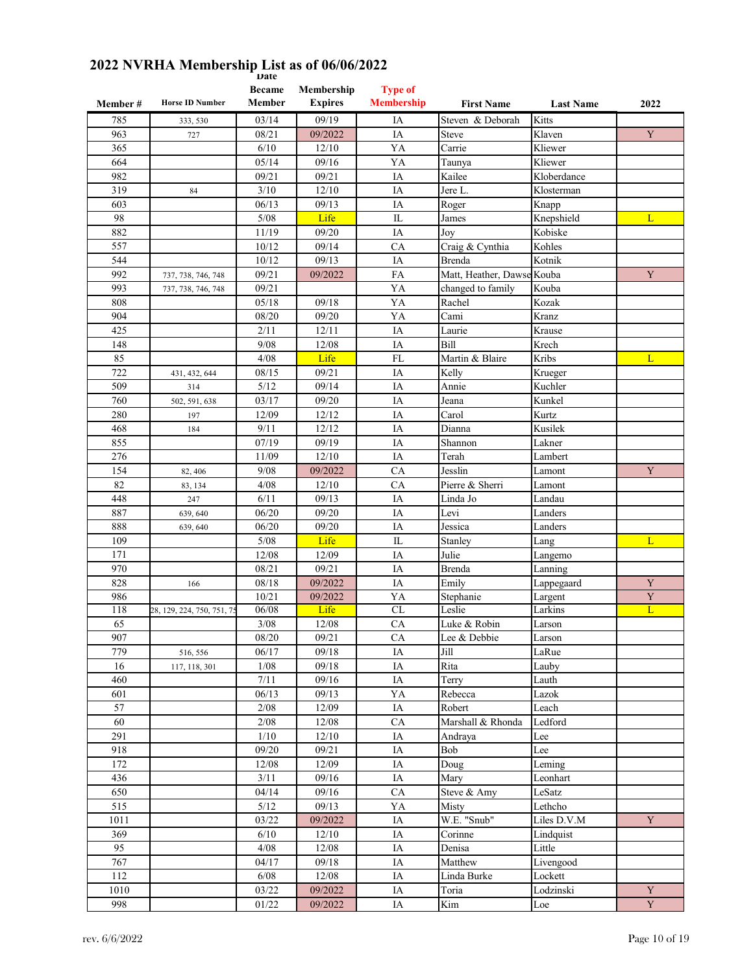| Member#    | <b>Horse ID Number</b>     | <b>Became</b><br>Member | Membership<br><b>Expires</b> | <b>Type of</b><br><b>Membership</b> | <b>First Name</b>          | <b>Last Name</b> | 2022                          |
|------------|----------------------------|-------------------------|------------------------------|-------------------------------------|----------------------------|------------------|-------------------------------|
| 785        | 333, 530                   | 03/14                   | 09/19                        | IA                                  | Steven & Deborah           | Kitts            |                               |
| 963        | 727                        | 08/21                   | 09/2022                      | IA                                  | <b>Steve</b>               | Klaven           | Y                             |
| 365        |                            | 6/10                    | 12/10                        | YA                                  | Carrie                     | Kliewer          |                               |
| 664        |                            | 05/14                   | 09/16                        | YA                                  | Taunya                     | Kliewer          |                               |
| 982        |                            | 09/21                   | 09/21                        | IA                                  | Kailee                     | Kloberdance      |                               |
| 319        | 84                         | 3/10                    | 12/10                        | IA                                  | Jere L.                    | Klosterman       |                               |
| 603        |                            | 06/13                   | 09/13                        | IA                                  | Roger                      | Knapp            |                               |
| 98         |                            | 5/08                    | Life                         | IL                                  | James                      | Knepshield       | L                             |
| 882        |                            | 11/19                   | 09/20                        | IA                                  | Joy                        | Kobiske          |                               |
| 557        |                            | 10/12                   | 09/14                        | CA                                  | Craig & Cynthia            | Kohles           |                               |
| 544        |                            | 10/12                   | 09/13                        | IA                                  | Brenda                     | Kotnik           |                               |
| 992        | 737, 738, 746, 748         | 09/21                   | 09/2022                      | FA                                  | Matt, Heather, Dawse Kouba |                  | Y                             |
| 993        | 737, 738, 746, 748         | 09/21                   |                              | YA                                  | changed to family          | Kouba            |                               |
| 808        |                            | 05/18                   | 09/18                        | YA                                  | Rachel                     | Kozak            |                               |
| 904        |                            | 08/20                   | 09/20                        | YA                                  | Cami                       | Kranz            |                               |
| 425        |                            | 2/11                    | 12/11                        | IA                                  | Laurie                     | Krause           |                               |
| 148        |                            | 9/08                    | 12/08                        | IA                                  | Bill                       | Krech            |                               |
| 85         |                            | 4/08                    | Life                         | FL                                  | Martin & Blaire            | Kribs            | L                             |
| 722        | 431, 432, 644              | 08/15                   | 09/21                        | IA                                  | Kelly                      | Krueger          |                               |
| 509        | 314                        | 5/12                    | 09/14                        | IA                                  | Annie                      | Kuchler          |                               |
| 760        | 502, 591, 638              | 03/17                   | 09/20                        | IA                                  | Jeana                      | Kunkel           |                               |
| 280        | 197                        | 12/09                   | 12/12                        | IA                                  | Carol                      | Kurtz            |                               |
| 468        | 184                        | 9/11                    | 12/12                        | IA                                  | Dianna                     | Kusilek          |                               |
| 855        |                            | 07/19                   | 09/19                        | IA                                  | Shannon                    | Lakner           |                               |
| 276        |                            | 11/09                   | 12/10                        | IA                                  | Terah                      | Lambert          |                               |
| 154        | 82, 406                    | 9/08                    | 09/2022                      | CA                                  | Jesslin                    | Lamont           | $\mathbf Y$                   |
| 82         | 83, 134                    | 4/08                    | 12/10                        | CA                                  | Pierre & Sherri            | Lamont           |                               |
| 448        | 247                        | 6/11                    | 09/13                        | IA                                  | Linda Jo                   | Landau           |                               |
| 887        | 639, 640                   | 06/20                   | 09/20                        | IA                                  | Levi                       | Landers          |                               |
| 888        | 639, 640                   | 06/20                   | 09/20                        | IA                                  | Jessica                    | Landers          |                               |
| 109        |                            | 5/08                    | Life                         | $\mathbf{L}$                        | Stanley                    | Lang             | L                             |
| 171        |                            | 12/08                   | 12/09                        | IA                                  | Julie                      | Langemo          |                               |
| 970        |                            | 08/21                   | 09/21                        | IA                                  | <b>Brenda</b>              | Lanning          |                               |
| 828        | 166                        | 08/18                   | 09/2022                      | IA                                  | Emily                      | Lappegaard       | Y                             |
| 986<br>118 |                            | 10/21                   | 09/2022                      | YA<br>CL                            | Stephanie                  | Largent          | $\mathbf Y$<br>$\overline{L}$ |
| 65         | 28, 129, 224, 750, 751, 75 | 06/08                   | Life<br>12/08                | CA                                  | Leslie<br>Luke & Robin     | Larkins          |                               |
| 907        |                            | $3/08$<br>08/20         | 09/21                        | <b>CA</b>                           | Lee & Debbie               | Larson<br>Larson |                               |
| 779        | 516, 556                   | 06/17                   | 09/18                        | IA                                  | Jill                       | LaRue            |                               |
| 16         |                            | 1/08                    | 09/18                        | IA                                  | Rita                       | Lauby            |                               |
| 460        | 117, 118, 301              | 7/11                    | 09/16                        | IA                                  | Terry                      | Lauth            |                               |
| 601        |                            | 06/13                   | 09/13                        | YA                                  | Rebecca                    | Lazok            |                               |
| 57         |                            | 2/08                    | 12/09                        | IA                                  | Robert                     | Leach            |                               |
| 60         |                            | 2/08                    | 12/08                        | CA                                  | Marshall & Rhonda          | Ledford          |                               |
| 291        |                            | 1/10                    | 12/10                        | IA                                  | Andraya                    | Lee              |                               |
| 918        |                            | 09/20                   | 09/21                        | IA                                  | Bob                        | Lee              |                               |
| 172        |                            | 12/08                   | 12/09                        | $\rm IA$                            | Doug                       | Leming           |                               |
| 436        |                            | 3/11                    | 09/16                        | IA                                  | Mary                       | Leonhart         |                               |
| 650        |                            | 04/14                   | 09/16                        | ${\rm CA}$                          | Steve & Amy                | LeSatz           |                               |
| 515        |                            | $5/12$                  | 09/13                        | YA                                  | Misty                      | Lethcho          |                               |
| 1011       |                            | $\sqrt{03/22}$          | 09/2022                      | IA                                  | W.E. "Snub"                | Liles D.V.M      | $\mathbf Y$                   |
| 369        |                            | 6/10                    | $12/10$                      | IA                                  | Corinne                    | Lindquist        |                               |
| 95         |                            | 4/08                    | 12/08                        | IA                                  | Denisa                     | Little           |                               |
| 767        |                            | 04/17                   | 09/18                        | IA                                  | Matthew                    | Livengood        |                               |
| 112        |                            | $6/08$                  | 12/08                        | $\rm IA$                            | Linda Burke                | Lockett          |                               |
| 1010       |                            | 03/22                   | 09/2022                      | $\rm IA$                            | Toria                      | Lodzinski        | $\mathbf Y$                   |
| 998        |                            | 01/22                   | 09/2022                      | $\rm IA$                            | Kim                        | Loe              | $\mathbf Y$                   |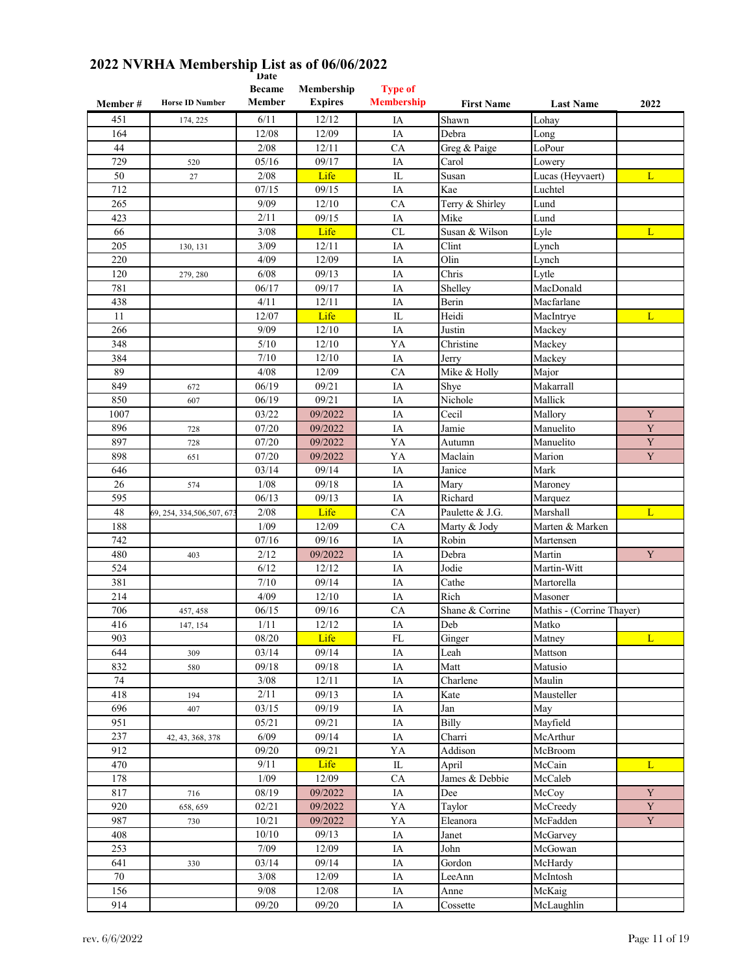|           | <b>Horse ID Number</b>      | vale<br><b>Became</b><br>Member | Membership<br><b>Expires</b> | <b>Type of</b><br><b>Membership</b> |                       |                            |             |
|-----------|-----------------------------|---------------------------------|------------------------------|-------------------------------------|-----------------------|----------------------------|-------------|
| Member #  |                             |                                 |                              |                                     | <b>First Name</b>     | <b>Last Name</b>           | 2022        |
| 451       | 174, 225                    | 6/11                            | 12/12                        | IA                                  | Shawn                 | Lohay                      |             |
| 164<br>44 |                             | 12/08<br>2/08                   | 12/09<br>12/11               | IA<br>CA                            | Debra                 | Long<br>LoPour             |             |
| 729       |                             | 05/16                           | 09/17                        | IA                                  | Greg & Paige<br>Carol |                            |             |
| 50        | 520<br>27                   | 2/08                            | Life                         | IL                                  | Susan                 | Lowery<br>Lucas (Heyvaert) | L           |
| 712       |                             | 07/15                           | 09/15                        | IA                                  | Kae                   | Luchtel                    |             |
| 265       |                             | 9/09                            | 12/10                        | CA                                  | Terry & Shirley       | Lund                       |             |
| 423       |                             | 2/11                            | 09/15                        | IA                                  | Mike                  | Lund                       |             |
| 66        |                             | 3/08                            | Life                         | CL                                  | Susan & Wilson        | Lyle                       | L           |
| 205       | 130, 131                    | 3/09                            | 12/11                        | IA                                  | Clint                 | Lynch                      |             |
| 220       |                             | 4/09                            | 12/09                        | IA                                  | Olin                  | Lynch                      |             |
| 120       | 279, 280                    | 6/08                            | 09/13                        | IA                                  | Chris                 | Lytle                      |             |
| 781       |                             | 06/17                           | 09/17                        | IA                                  | Shelley               | MacDonald                  |             |
| 438       |                             | 4/11                            | 12/11                        | IA                                  | Berin                 | Macfarlane                 |             |
| 11        |                             | 12/07                           | Life                         | IL                                  | Heidi                 | MacIntrye                  | L           |
| 266       |                             | 9/09                            | 12/10                        | IA                                  | Justin                | Mackey                     |             |
| 348       |                             | 5/10                            | 12/10                        | YA                                  | Christine             | Mackey                     |             |
| 384       |                             | 7/10                            | 12/10                        | IA                                  | Jerry                 | Mackey                     |             |
| 89        |                             | 4/08                            | 12/09                        | CA                                  | Mike & Holly          | Major                      |             |
| 849       | 672                         | 06/19                           | 09/21                        | IA                                  | Shye                  | Makarrall                  |             |
| 850       | 607                         | 06/19                           | 09/21                        | IA                                  | Nichole               | Mallick                    |             |
| 1007      |                             | 03/22                           | 09/2022                      | IA                                  | Cecil                 | Mallory                    | Y           |
| 896       | 728                         | 07/20                           | 09/2022                      | IA                                  | Jamie                 | Manuelito                  | $\mathbf Y$ |
| 897       | 728                         | 07/20                           | 09/2022                      | YA                                  | Autumn                | Manuelito                  | Y           |
| 898       | 651                         | 07/20                           | 09/2022                      | YA                                  | Maclain               | Marion                     | $\mathbf Y$ |
| 646       |                             | 03/14                           | 09/14                        | IA                                  | Janice                | Mark                       |             |
| 26        | 574                         | 1/08                            | 09/18                        | IA                                  | Mary                  | Maroney                    |             |
| 595       |                             | 06/13                           | 09/13                        | IA                                  | Richard               | Marquez                    |             |
| 48        | 69, 254, 334, 506, 507, 67. | 2/08                            | Life                         | CA                                  | Paulette & J.G.       | Marshall                   | L           |
| 188       |                             | 1/09                            | 12/09                        | CA                                  | Marty & Jody          | Marten & Marken            |             |
| 742       |                             | 07/16                           | 09/16                        | IA                                  | Robin                 | Martensen                  |             |
| 480       | 403                         | 2/12                            | 09/2022                      | IA                                  | Debra                 | Martin                     | Y           |
| 524       |                             | 6/12                            | 12/12                        | IA                                  | Jodie                 | Martin-Witt                |             |
| 381       |                             | 7/10                            | 09/14                        | IA                                  | Cathe                 | Martorella                 |             |
| 214       |                             | 4/09                            | 12/10                        | IA                                  | Rich                  | Masoner                    |             |
| 706       | 457, 458                    | 06/15                           | 09/16                        | CA                                  | Shane & Corrine       | Mathis - (Corrine Thayer)  |             |
| 416       | 147, 154                    | 1/11                            | 12/12                        | IA                                  | Deb                   | Matko                      |             |
| 903       |                             | 08/20                           | Life                         | FL                                  | Ginger                | Matney                     | L           |
| 644       | 309                         | 03/14                           | 09/14                        | $\rm IA$                            | Leah                  | Mattson                    |             |
| 832       | 580                         | 09/18                           | 09/18                        | $\rm IA$                            | Matt                  | Matusio                    |             |
| 74        |                             | $3/08$                          | 12/11                        | IA                                  | Charlene              | Maulin                     |             |
| 418       | 194                         | 2/11                            | 09/13                        | IA                                  | Kate                  | Mausteller                 |             |
| 696       | 407                         | 03/15                           | 09/19                        | $\rm IA$                            | Jan                   | May                        |             |
| 951       |                             | 05/21                           | 09/21                        | IA                                  | Billy                 | Mayfield                   |             |
| 237       | 42, 43, 368, 378            | 6/09                            | 09/14                        | IA                                  | Charri                | McArthur                   |             |
| 912       |                             | 09/20                           | 09/21                        | YA                                  | Addison               | McBroom                    |             |
| 470       |                             | 9/11                            | Life                         | $\mathop{\mathrm{IL}}\nolimits$     | April                 | McCain                     | L           |
| 178       |                             | 1/09                            | 12/09                        | CA                                  | James & Debbie        | McCaleb                    |             |
| 817       | 716                         | 08/19                           | 09/2022                      | $\rm IA$                            | Dee                   | McCoy                      | $\mathbf Y$ |
| 920       | 658, 659                    | 02/21                           | 09/2022                      | YA                                  | Taylor                | McCreedy                   | $\mathbf Y$ |
| 987       | 730                         | 10/21                           | 09/2022                      | YA                                  | Eleanora              | McFadden                   | $\mathbf Y$ |
| 408       |                             | 10/10                           | 09/13                        | IA                                  | Janet                 | McGarvey                   |             |
| 253       |                             | 7/09                            | 12/09                        | IA                                  | John                  | McGowan                    |             |
| 641       | 330                         | 03/14                           | 09/14                        | IA                                  | Gordon                | McHardy                    |             |
| $70\,$    |                             | $3/08$                          | 12/09                        | IA                                  | LeeAnn                | McIntosh                   |             |
| 156       |                             | 9/08                            | 12/08                        | IA                                  | Anne                  | McKaig                     |             |
| 914       |                             | 09/20                           | 09/20                        | IA                                  | Cossette              | McLaughlin                 |             |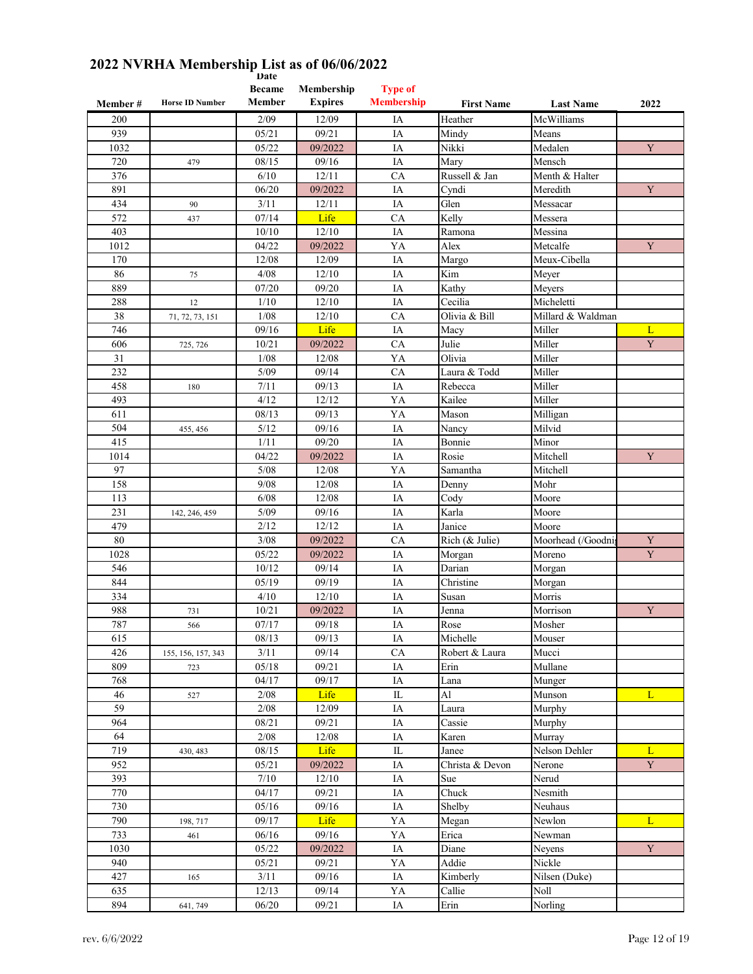|          |                        | vale<br><b>Became</b> | Membership     | <b>Type of</b>    |                   |                              |             |
|----------|------------------------|-----------------------|----------------|-------------------|-------------------|------------------------------|-------------|
| Member # | <b>Horse ID Number</b> | Member                | <b>Expires</b> | <b>Membership</b> | <b>First Name</b> | <b>Last Name</b>             | 2022        |
| 200      |                        | 2/09                  | 12/09          | IA                | Heather           | McWilliams                   |             |
| 939      |                        | 05/21                 | 09/21          | IA                | Mindy             | Means                        |             |
| 1032     |                        | 05/22                 | 09/2022        | IA                | Nikki             | Medalen                      | Y           |
| 720      | 479                    | 08/15                 | 09/16          | IA                | Mary              | Mensch                       |             |
| 376      |                        | 6/10                  | 12/11          | CA                | Russell & Jan     | Menth & Halter               |             |
| 891      |                        | 06/20                 | 09/2022        | IA                | Cyndi             | Meredith                     | Y           |
| 434      | 90                     | 3/11                  | 12/11          | IA                | Glen              | Messacar                     |             |
| 572      | 437                    | 07/14                 | Life           | CA                | Kelly             | Messera                      |             |
| 403      |                        | 10/10                 | 12/10          | IA                | Ramona            | Messina                      |             |
| 1012     |                        | 04/22                 | 09/2022        | YA                | Alex              | Metcalfe                     | Y           |
| 170      |                        | 12/08                 | 12/09          | IA                | Margo             | Meux-Cibella                 |             |
| 86       | 75                     | 4/08                  | 12/10          | IA                | Kim               | Meyer                        |             |
| 889      |                        | 07/20                 | 09/20          | IA                | Kathy             | Meyers                       |             |
| 288      | 12                     | 1/10                  | 12/10          | IA                | Cecilia           | Micheletti                   |             |
| 38       | 71, 72, 73, 151        | 1/08                  | 12/10          | CA                | Olivia & Bill     | Millard & Waldman            |             |
| 746      |                        | 09/16                 | Life           | IA                | Macy              | Miller                       | L           |
| 606      | 725, 726               | 10/21                 | 09/2022        | <b>CA</b>         | Julie             | Miller                       | $\mathbf Y$ |
| 31       |                        | 1/08                  | 12/08          | YA                | Olivia            | Miller                       |             |
| 232      |                        | 5/09                  | 09/14          | CA                | Laura & Todd      | Miller                       |             |
| 458      | 180                    | 7/11                  | 09/13          | IA                | Rebecca           | Miller                       |             |
| 493      |                        | 4/12                  | 12/12          | YA                | Kailee            | Miller                       |             |
| 611      |                        | 08/13                 | 09/13          | YA                | Mason             | Milligan                     |             |
| 504      | 455, 456               | 5/12                  | 09/16          | IA                | Nancy             | Milvid                       |             |
| 415      |                        | 1/11                  | 09/20          | IA                | Bonnie            | Minor                        |             |
| 1014     |                        | 04/22                 | 09/2022        | IA                | Rosie             | Mitchell                     | Y           |
| 97       |                        | 5/08                  | 12/08          | YA                | Samantha          | Mitchell                     |             |
| 158      |                        | 9/08                  | 12/08          | IA                | Denny             | Mohr                         |             |
| 113      |                        | 6/08                  | 12/08          | IA                | Cody              | Moore                        |             |
| 231      | 142, 246, 459          | 5/09                  | 09/16          | IA                | Karla             | Moore                        |             |
| 479      |                        | 2/12                  | 12/12          | IA                | Janice            | Moore                        |             |
| $80\,$   |                        | 3/08                  | 09/2022        | CA                | Rich (& Julie)    | Moorhead (/Goodni            | Y           |
| 1028     |                        | 05/22                 | 09/2022        | IA                | Morgan            | Moreno                       | Y           |
| 546      |                        | 10/12                 | 09/14          | IA                | Darian            | Morgan                       |             |
| 844      |                        | 05/19                 | 09/19          | IA                | Christine         | Morgan                       |             |
| 334      |                        | 4/10                  | 12/10          | IA                | Susan             | Morris                       |             |
| 988      | 731                    | 10/21                 | 09/2022        | IA                | Jenna             | Morrison                     | $\mathbf Y$ |
| 787      | 566                    | 07/17                 | 09/18          | IA                | Rose              | Mosher                       |             |
| 615      |                        | 08/13                 | 09/13          | IA                | Michelle          | Mouser                       |             |
| 426      | 155, 156, 157, 343     | 3/11                  | 09/14          | ${\rm CA}$        | Robert & Laura    | Mucci                        |             |
| 809      | 723                    | 05/18                 | 09/21          | IA                | Erin              | $\overline{\text{M}}$ ullane |             |
| 768      |                        | 04/17                 | 09/17          | IA                | Lana              | Munger                       |             |
| 46       | 527                    | 2/08                  | Life           | $\rm IL$          | Al                | Munson                       | L           |
| 59       |                        | 2/08                  | 12/09          | IA                | Laura             | Murphy                       |             |
| 964      |                        | 08/21                 | 09/21          | IA                | Cassie            | Murphy                       |             |
| 64       |                        | 2/08                  | 12/08          | IA                | Karen             | Murray                       |             |
| 719      | 430, 483               | 08/15                 | Life           | IL                | Janee             | Nelson Dehler                | L           |
| 952      |                        | 05/21                 | 09/2022        | IA                | Christa & Devon   | Nerone                       | $\mathbf Y$ |
| 393      |                        | 7/10                  | 12/10          | IA                | Sue               | Nerud                        |             |
| 770      |                        | 04/17                 | 09/21          | IA                | Chuck             | Nesmith                      |             |
| 730      |                        | 05/16                 | 09/16          | IA                | Shelby            | Neuhaus                      |             |
| 790      | 198, 717               | 09/17                 | Life           | YA                | Megan             | Newlon                       | L           |
| 733      | 461                    | 06/16                 | 09/16          | YA                | Erica             | Newman                       |             |
| 1030     |                        | 05/22                 | 09/2022        | IA                | Diane             | Neyens                       | Y           |
| 940      |                        | 05/21                 | 09/21          | YA                | Addie             | Nickle                       |             |
| 427      | 165                    | 3/11                  | 09/16          | IA                | Kimberly          | Nilsen (Duke)                |             |
| 635      |                        | 12/13                 | 09/14          | YA                | Callie            | Noll                         |             |
| 894      | 641, 749               | 06/20                 | 09/21          | IA                | Erin              | Norling                      |             |
|          |                        |                       |                |                   |                   |                              |             |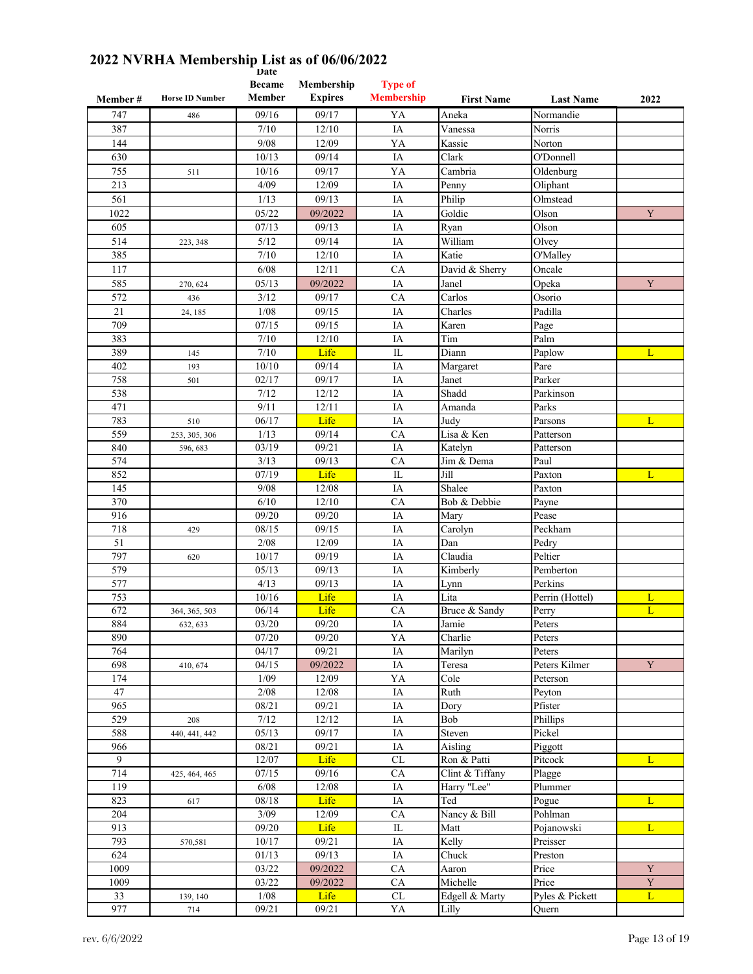| Member #    | <b>Horse ID Number</b> | пас<br><b>Became</b><br>Member | Membership<br><b>Expires</b> | <b>Type of</b><br><b>Membership</b> | <b>First Name</b> | <b>Last Name</b> | 2022        |
|-------------|------------------------|--------------------------------|------------------------------|-------------------------------------|-------------------|------------------|-------------|
| 747         | 486                    | 09/16                          | 09/17                        | YA                                  | Aneka             | Normandie        |             |
| 387         |                        | 7/10                           | 12/10                        | IA                                  | Vanessa           | Norris           |             |
| 144         |                        | 9/08                           | 12/09                        | YA                                  | Kassie            | Norton           |             |
| 630         |                        | 10/13                          | 09/14                        | IA                                  | Clark             | O'Donnell        |             |
| 755         | 511                    | 10/16                          | 09/17                        | YA                                  | Cambria           | Oldenburg        |             |
| 213         |                        | 4/09                           | 12/09                        | IA                                  | Penny             | Oliphant         |             |
| 561         |                        | 1/13                           | 09/13                        | IA                                  | Philip            | Olmstead         |             |
| 1022        |                        | 05/22                          | 09/2022                      | IA                                  | Goldie            | Olson            | Y           |
| 605         |                        | 07/13                          | 09/13                        | IA                                  | Ryan              | Olson            |             |
| 514         | 223, 348               | 5/12                           | 09/14                        | IA                                  | William           | Olvey            |             |
| 385         |                        | 7/10                           | 12/10                        | IA                                  | Katie             | O'Malley         |             |
| 117         |                        | 6/08                           | 12/11                        | CA                                  | David & Sherry    | Oncale           |             |
| 585         | 270, 624               | 05/13                          | 09/2022                      | IA                                  | Janel             | Opeka            | Y           |
| 572         | 436                    | 3/12                           | 09/17                        | CA                                  | Carlos            | Osorio           |             |
| 21          | 24, 185                | 1/08                           | 09/15                        | IA                                  | Charles           | Padilla          |             |
| 709         |                        | 07/15                          | 09/15                        | IA                                  | Karen             | Page             |             |
| 383         |                        | 7/10                           | 12/10                        | IA                                  | Tim               | Palm             |             |
| 389         | 145                    | 7/10                           | Life                         | IL                                  | Diann             | Paplow           | L           |
| 402         | 193                    | 10/10                          | 09/14                        | IA                                  | Margaret          | Pare             |             |
| 758         | 501                    | 02/17                          | 09/17                        | IA                                  | Janet             | Parker           |             |
| 538         |                        | 7/12                           | 12/12                        | IA                                  | Shadd             | Parkinson        |             |
| 471         |                        | 9/11                           | 12/11                        | IA                                  | Amanda            | Parks            |             |
| 783         | 510                    | 06/17                          | Life                         | IA                                  | Judy              | Parsons          | L           |
| 559         | 253, 305, 306          | 1/13                           | 09/14                        | CA                                  | Lisa & Ken        | Patterson        |             |
| 840         | 596, 683               | 03/19                          | 09/21                        | IA                                  | Katelyn           | Patterson        |             |
| 574         |                        | 3/13                           | 09/13                        | CA                                  | Jim & Dema        | Paul             |             |
| 852         |                        | 07/19                          | Life                         | IL                                  | Jill              | Paxton           | L           |
| 145         |                        | 9/08                           | 12/08                        | IA                                  | Shalee            | Paxton           |             |
| 370         |                        | 6/10                           | 12/10                        | CA                                  | Bob & Debbie      | Payne            |             |
| 916         |                        | 09/20                          | 09/20                        | IA                                  | Mary              | Pease            |             |
| 718<br>51   | 429                    | 08/15<br>2/08                  | 09/15<br>12/09               | IA<br>IA                            | Carolyn<br>Dan    | Peckham<br>Pedry |             |
| 797         | 620                    | 10/17                          | 09/19                        | IA                                  | Claudia           | Peltier          |             |
| 579         |                        | 05/13                          | 09/13                        | IA                                  | Kimberly          | Pemberton        |             |
| 577         |                        | 4/13                           | 09/13                        | IA                                  | Lynn              | Perkins          |             |
| 753         |                        | 10/16                          | Life                         | IA                                  | Lita              | Perrin (Hottel)  | L           |
| 672         | 364, 365, 503          | 06/14                          | Life                         | CA                                  | Bruce & Sandy     | Perry            | L           |
| 884         | 632, 633               | 03/20                          | 09/20                        | $\overline{\text{IA}}$              | Jamie             | Peters           |             |
| 890         |                        | 07/20                          | 09/20                        | YA                                  | Charlie           | Peters           |             |
| 764         |                        | 04/17                          | 09/21                        | IA                                  | Marilyn           | Peters           |             |
| 698         | 410, 674               | 04/15                          | 09/2022                      | IA                                  | Teresa            | Peters Kilmer    | $\mathbf Y$ |
| 174         |                        | 1/09                           | 12/09                        | YA                                  | Cole              | Peterson         |             |
| 47          |                        | 2/08                           | 12/08                        | IA                                  | Ruth              | Peyton           |             |
| 965         |                        | 08/21                          | 09/21                        | IA                                  | Dory              | Pfister          |             |
| 529         | 208                    | 7/12                           | 12/12                        | IA                                  | Bob               | Phillips         |             |
| 588         | 440, 441, 442          | 05/13                          | 09/17                        | IA                                  | Steven            | Pickel           |             |
| 966         |                        | 08/21                          | 09/21                        | IA                                  | Aisling           | Piggott          |             |
| 9           |                        | 12/07                          | Life                         | $\ensuremath{\text{CL}}\xspace$     | Ron & Patti       | Pitcock          | L           |
| 714         | 425, 464, 465          | 07/15                          | 09/16                        | CA                                  | Clint & Tiffany   | Plagge           |             |
| 119         |                        | 6/08                           | 12/08                        | IA                                  | Harry "Lee"       | Plummer          |             |
| 823         | 617                    | 08/18                          | Life                         | IA                                  | Ted               | Pogue            | L           |
| 204         |                        | 3/09                           | 12/09                        | CA                                  | Nancy & Bill      | Pohlman          |             |
| 913         |                        | 09/20                          | Life                         | IL                                  | Matt              | Pojanowski       | L           |
| 793         | 570,581                | 10/17                          | 09/21                        | IA                                  | Kelly             | Preisser         |             |
| 624<br>1009 |                        | 01/13                          | 09/13                        | IA<br>CA                            | Chuck             | Preston          | $\mathbf Y$ |
|             |                        | 03/22<br>$\frac{1}{03/22}$     | 09/2022<br>09/2022           |                                     | Aaron<br>Michelle | Price<br>Price   | $\mathbf Y$ |
| 1009<br>33  | 139, 140               | 1/08                           | Life                         | CA<br>CL                            | Edgell & Marty    | Pyles & Pickett  | L           |
| 977         | 714                    | 09/21                          | 09/21                        | YA                                  | Lilly             | Quern            |             |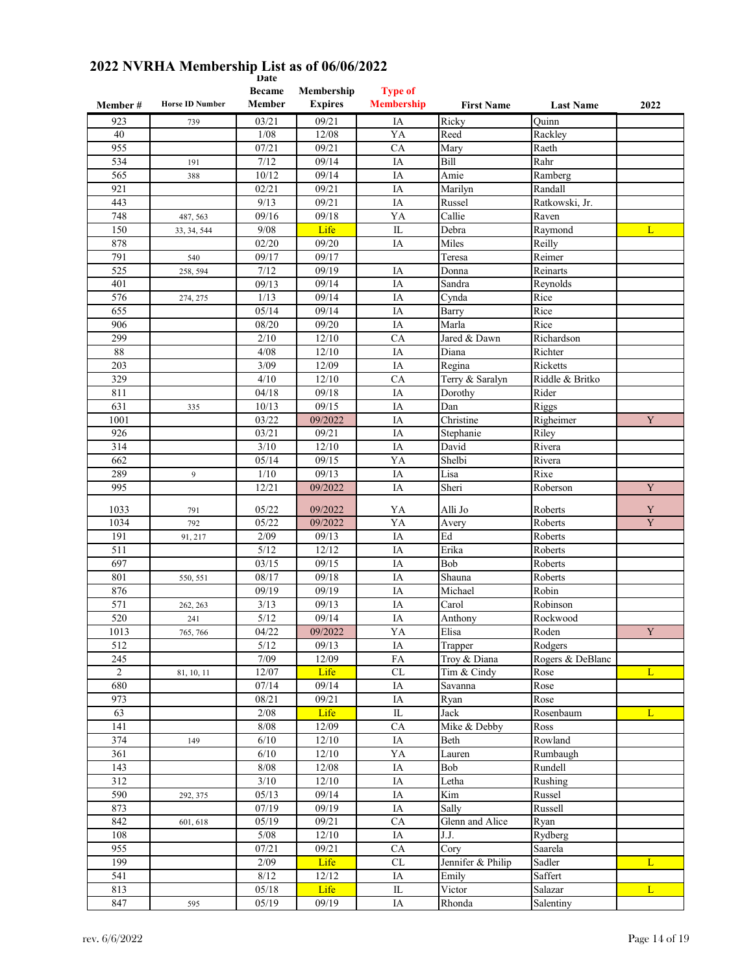| Member#        | <b>Horse ID Number</b> | <b>Became</b><br>Member | Membership<br><b>Expires</b> | <b>Type of</b><br><b>Membership</b> | <b>First Name</b>       | <b>Last Name</b> | 2022                    |
|----------------|------------------------|-------------------------|------------------------------|-------------------------------------|-------------------------|------------------|-------------------------|
|                |                        |                         |                              |                                     |                         |                  |                         |
| 923            | 739                    | 03/21                   | 09/21                        | IA<br>YA                            | Ricky<br>Reed           | Quinn            |                         |
| 40<br>955      |                        | 1/08<br>07/21           | 12/08<br>09/21               | CA                                  |                         | Rackley<br>Raeth |                         |
|                |                        |                         |                              |                                     | Mary                    |                  |                         |
| 534            | 191                    | 7/12                    | 09/14                        | IA                                  | Bill                    | Rahr             |                         |
| 565            | 388                    | 10/12                   | 09/14                        | IA                                  | Amie                    | Ramberg          |                         |
| 921            |                        | 02/21                   | 09/21                        | IA                                  | Marilyn                 | Randall          |                         |
| 443            |                        | 9/13                    | 09/21                        | IA                                  | Russel                  | Ratkowski, Jr.   |                         |
| 748            | 487, 563               | 09/16                   | 09/18                        | YA                                  | Callie                  | Raven            |                         |
| 150            | 33, 34, 544            | 9/08                    | Life                         | IL                                  | Debra                   | Raymond          | L                       |
| 878            |                        | 02/20                   | 09/20                        | IA                                  | Miles                   | Reilly           |                         |
| 791            | 540                    | 09/17                   | 09/17                        |                                     | Teresa                  | Reimer           |                         |
| 525            | 258, 594               | 7/12                    | 09/19                        | IA                                  | Donna                   | Reinarts         |                         |
| 401            |                        | 09/13                   | 09/14                        | IA                                  | Sandra                  | Reynolds         |                         |
| 576            | 274, 275               | 1/13                    | 09/14                        | IA                                  | Cynda                   | Rice             |                         |
| 655            |                        | 05/14                   | 09/14                        | IA                                  | Barry                   | Rice             |                         |
| 906            |                        | 08/20                   | 09/20                        | IA                                  | Marla                   | Rice             |                         |
| 299            |                        | 2/10                    | 12/10                        | CA                                  | Jared & Dawn            | Richardson       |                         |
| 88             |                        | 4/08                    | 12/10                        | IA                                  | Diana                   | Richter          |                         |
| 203            |                        | 3/09                    | 12/09                        | IA                                  | Regina                  | Ricketts         |                         |
| 329            |                        | 4/10                    | 12/10                        | CA                                  | Terry & Saralyn         | Riddle & Britko  |                         |
| 811            |                        | 04/18                   | 09/18                        | IA                                  | Dorothy                 | Rider            |                         |
| 631            | 335                    | 10/13                   | 09/15                        | IA                                  | Dan                     | Riggs            |                         |
| 1001           |                        | 03/22                   | 09/2022                      | IA                                  | Christine               | Righeimer        | $\mathbf Y$             |
| 926            |                        | 03/21                   | 09/21                        | IA                                  | Stephanie               | Riley            |                         |
| 314            |                        | 3/10                    | 12/10                        | IA                                  | David                   | Rivera           |                         |
| 662            |                        | 05/14                   | 09/15                        | YA                                  | Shelbi                  | Rivera           |                         |
| 289            | 9                      | 1/10                    | 09/13                        | IA                                  | Lisa                    | Rixe             |                         |
| 995            |                        | 12/21                   | 09/2022                      | IA                                  | Sheri                   | Roberson         | $\mathbf Y$             |
|                |                        |                         |                              |                                     |                         |                  |                         |
| 1033           | 791                    | 05/22                   | 09/2022                      | YA                                  | Alli Jo                 | Roberts          | Y                       |
| 1034           | 792                    | 05/22                   | 09/2022                      | YA                                  | Avery                   | Roberts          | $\overline{\textbf{Y}}$ |
| 191            | 91, 217                | 2/09                    | 09/13                        | IA                                  | Ed                      | Roberts          |                         |
| 511            |                        | 5/12                    | 12/12                        | IA                                  | Erika                   | Roberts          |                         |
| 697            |                        | 03/15                   | 09/15                        | IA                                  | Bob                     | Roberts          |                         |
| 801            | 550, 551               | 08/17                   | 09/18                        | IA                                  | Shauna                  | Roberts          |                         |
| 876            |                        | 09/19                   | 09/19                        | IA                                  | Michael                 | Robin            |                         |
| 571            | 262, 263               | 3/13                    | 09/13                        | IA                                  | Carol                   | Robinson         |                         |
| 520            | 241                    | 5/12                    | 09/14                        | IA                                  | Anthony                 | Rockwood         |                         |
| 1013           | 765, 766               | 04/22                   | 09/2022                      | YA                                  | Elisa                   | Roden            | $\mathbf Y$             |
| 512            |                        | $5/12$                  | 09/13                        | IA                                  | Trapper                 | Rodgers          |                         |
| 245            |                        | 7/09                    | 12/09                        | ${\rm FA}$                          | Troy & Diana            | Rogers & DeBlanc |                         |
| $\overline{2}$ | 81, 10, 11             | 12/07                   | Life                         | $\ensuremath{\mathrm{CL}}\xspace$   | Tim & Cindy             | Rose             | L                       |
| 680            |                        | 07/14                   | 09/14                        | IA                                  | Savanna                 | Rose             |                         |
| 973            |                        | $\frac{08}{21}$         | 09/21                        | IA                                  | Ryan                    | Rose             |                         |
| 63             |                        | 2/08                    | Life                         | $\overline{\text{IL}}$              | Jack                    | Rosenbaum        | L                       |
| 141            |                        | 8/08                    | 12/09                        | CA                                  | Mike & Debby            | Ross             |                         |
| 374            | 149                    | 6/10                    | 12/10                        | IA                                  | Beth                    | Rowland          |                         |
| 361            |                        | 6/10                    | $12/10$                      | YA                                  | Lauren                  | Rumbaugh         |                         |
| 143            |                        | $8/08$                  | 12/08                        | IA                                  | Bob                     | Rundell          |                         |
| 312            |                        | $3/10$                  | 12/10                        | IA                                  | Letha                   | Rushing          |                         |
| 590            | 292, 375               | 05/13                   | 09/14                        | $\rm IA$                            | $\overline{\text{Kim}}$ | Russel           |                         |
| 873            |                        | 07/19                   | 09/19                        | IA                                  | Sally                   | Russell          |                         |
| 842            |                        | 05/19                   | 09/21                        | CA                                  | Glenn and Alice         |                  |                         |
|                | 601, 618               |                         |                              |                                     |                         | Ryan             |                         |
| 108            |                        | $5/08$                  | 12/10                        | IA                                  | J.J.                    | Rydberg          |                         |
| 955            |                        | 07/21                   | 09/21                        | CA                                  | Cory                    | Saarela          |                         |
| 199            |                        | 2/09                    | Life                         | $\ensuremath{\text{CL}}\xspace$     | Jennifer & Philip       | Sadler           | L                       |
| 541            |                        | 8/12                    | 12/12                        | IA                                  | Emily                   | Saffert          |                         |
| 813            |                        | 05/18                   | Life                         | ${\rm IL}$                          | Victor                  | Salazar          | L                       |
| 847            | 595                    | 05/19                   | 09/19                        | $\rm IA$                            | Rhonda                  | Salentiny        |                         |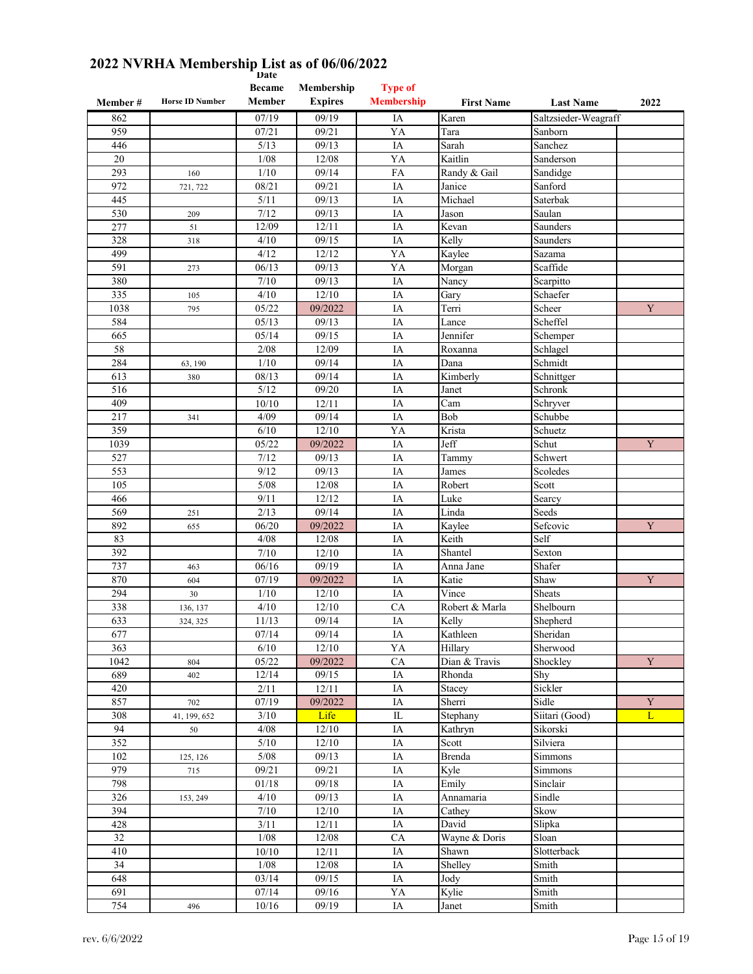|                  |                        | <b>Date</b><br><b>Became</b> | Membership       | <b>Type of</b>          |                   |                      |             |
|------------------|------------------------|------------------------------|------------------|-------------------------|-------------------|----------------------|-------------|
| Member#          | <b>Horse ID Number</b> | Member                       | <b>Expires</b>   | <b>Membership</b>       | <b>First Name</b> | <b>Last Name</b>     | 2022        |
| 862              |                        | 07/19                        | 09/19            | IA                      | Karen             | Saltzsieder-Weagraff |             |
| 959              |                        | 07/21                        | 09/21            | YA                      | Tara              | Sanborn              |             |
| 446              |                        | 5/13                         | 09/13            | IA                      | Sarah             | Sanchez              |             |
| 20               |                        | 1/08                         | 12/08            | YA                      | Kaitlin           | Sanderson            |             |
| 293              | 160                    | 1/10                         | 09/14            | FA                      | Randy & Gail      | Sandidge             |             |
| 972              | 721, 722               | 08/21                        | 09/21            | IA                      | Janice            | Sanford              |             |
| 445              |                        | 5/11                         | 09/13            | IA                      | Michael           | Saterbak             |             |
| 530              | 209                    | 7/12                         | 09/13            | IA                      | Jason             | Saulan               |             |
| 277              | 51                     | 12/09                        | 12/11            | IA                      | Kevan             | Saunders             |             |
| 328              | 318                    | 4/10                         | 09/15            | IA                      | Kelly             | Saunders             |             |
| 499              |                        | 4/12                         | 12/12            | YA                      | Kaylee            | Sazama               |             |
| 591              | 273                    | 06/13                        | 09/13            | YA                      | Morgan            | Scaffide             |             |
| 380              |                        | 7/10                         | 09/13            | IA                      | Nancy             | Scarpitto            |             |
| 335              | 105                    | 4/10                         | 12/10            | IA                      | Gary              | Schaefer             |             |
| 1038             | 795                    | 05/22                        | 09/2022          | IA                      | Terri             | Scheer               | Y           |
| 584              |                        | 05/13                        | 09/13            | IA                      | Lance             | Scheffel             |             |
| 665              |                        | 05/14                        | 09/15            | IA                      | Jennifer          | Schemper             |             |
| 58               |                        | 2/08                         | 12/09            | IA                      | Roxanna           | Schlagel             |             |
| 284              | 63, 190                | 1/10                         | 09/14            | IA                      | Dana              | Schmidt              |             |
| 613              | 380                    | 08/13                        | 09/14            | IA                      | Kimberly          | Schnittger           |             |
| 516              |                        | 5/12                         | 09/20            | IA                      | Janet             | Schronk              |             |
| 409              |                        | 10/10                        | 12/11            | IA                      | Cam               | Schryver             |             |
| 217              | 341                    | 4/09                         | 09/14            | IA                      | Bob               | Schubbe              |             |
| 359              |                        | 6/10                         | 12/10            | YA                      | Krista            | Schuetz              |             |
| 1039             |                        | 05/22                        | 09/2022          | IA                      | Jeff              | Schut                | Y           |
| 527              |                        | 7/12                         | 09/13            | IA                      | Tammy             | Schwert              |             |
| 553              |                        | 9/12                         | 09/13            | IA                      | James             | Scoledes             |             |
| 105              |                        | 5/08                         | 12/08            | IA                      | Robert            | Scott                |             |
| 466<br>569       |                        | 9/11<br>2/13                 | 12/12<br>09/14   | IA                      | Luke<br>Linda     | Searcy<br>Seeds      |             |
| 892              | 251                    | 06/20                        |                  | IA<br>IA                |                   |                      | Y           |
| 83               | 655                    | 4/08                         | 09/2022<br>12/08 | IA                      | Kaylee<br>Keith   | Sefcovic<br>Self     |             |
| 392              |                        | 7/10                         | 12/10            | IA                      | Shantel           | Sexton               |             |
| 737              | 463                    | 06/16                        | 09/19            | IA                      | Anna Jane         | Shafer               |             |
| 870              | 604                    | 07/19                        | 09/2022          | IA                      | Katie             | Shaw                 | Y           |
| 294              | 30                     | 1/10                         | 12/10            | IA                      | Vince             | Sheats               |             |
| 338              | 136, 137               | 4/10                         | 12/10            | CA                      | Robert & Marla    | Shelbourn            |             |
| 633              | 324, 325               | 11/13                        | 09/14            | IA                      | Kelly             | Shepherd             |             |
| 677              |                        | 07/14                        | 09/14            | IA                      | Kathleen          | Sheridan             |             |
| $\overline{363}$ |                        | 6/10                         | 12/10            | YA                      | Hillary           | Sherwood             |             |
| 1042             | 804                    | 05/22                        | 09/2022          | ${\rm CA}$              | Dian & Travis     | Shockley             | $\mathbf Y$ |
| 689              | 402                    | 12/14                        | 09/15            | IA                      | Rhonda            | Shy                  |             |
| 420              |                        | 2/11                         | 12/11            | IA                      | Stacey            | Sickler              |             |
| 857              | 702                    | 07/19                        | 09/2022          | $\rm IA$                | Sherri            | Sidle                | $\mathbf Y$ |
| 308              | 41, 199, 652           | 3/10                         | Life             | $\overline{\mathbb{L}}$ | Stephany          | Siitari (Good)       | L           |
| 94               | 50                     | 4/08                         | 12/10            | IA                      | Kathryn           | Sikorski             |             |
| 352              |                        | 5/10                         | 12/10            | IA                      | Scott             | Silviera             |             |
| 102              | 125, 126               | $5/08$                       | 09/13            | IA                      | Brenda            | Simmons              |             |
| 979              | 715                    | 09/21                        | 09/21            | IA                      | Kyle              | Simmons              |             |
| 798              |                        | $01/18\,$                    | 09/18            | IA                      | Emily             | Sinclair             |             |
| 326              | 153, 249               | 4/10                         | 09/13            | IA                      | Annamaria         | Sindle               |             |
| 394              |                        | 7/10                         | $12/10$          | IA                      | Cathey            | Skow                 |             |
| 428              |                        | 3/11                         | 12/11            | IA                      | David             | Slipka               |             |
| 32               |                        | 1/08                         | 12/08            | ${\rm CA}$              | Wayne & Doris     | Sloan                |             |
| 410              |                        | 10/10                        | 12/11            | IA                      | Shawn             | Slotterback          |             |
| 34               |                        | $1/08$                       | 12/08            | IA                      | Shelley           | Smith                |             |
| 648              |                        | 03/14                        | 09/15            | IA                      | Jody              | Smith                |             |
| 691              |                        | 07/14                        | 09/16            | YA                      | Kylie             | Smith                |             |
| 754              | 496                    | 10/16                        | 09/19            | IA                      | Janet             | Smith                |             |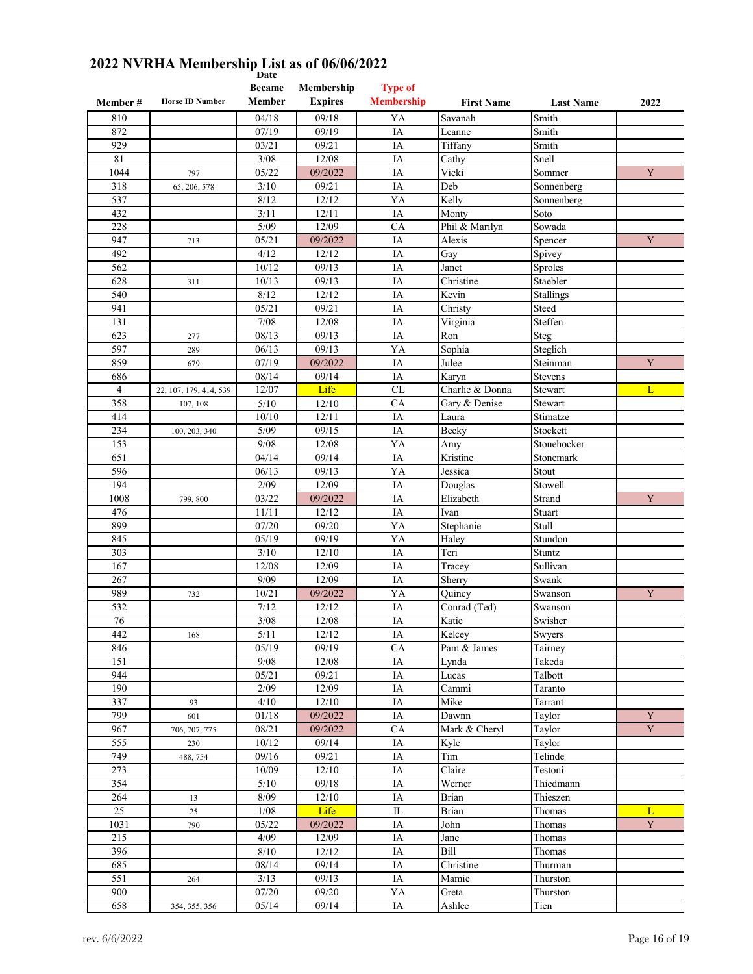|                  |                        | <b>Date</b><br><b>Became</b> | Membership     | <b>Type of</b>    |                         |                    |             |
|------------------|------------------------|------------------------------|----------------|-------------------|-------------------------|--------------------|-------------|
| Member#          | <b>Horse ID Number</b> | Member                       | <b>Expires</b> | <b>Membership</b> | <b>First Name</b>       | <b>Last Name</b>   | 2022        |
| 810              |                        | 04/18                        | 09/18          | YA                | Savanah                 | Smith              |             |
| 872              |                        | 07/19                        | 09/19          | IA                | Leanne                  | Smith              |             |
| 929              |                        | 03/21                        | 09/21          | IA                | Tiffany                 | Smith              |             |
| 81               |                        | 3/08                         | 12/08          | IA                | Cathy                   | Snell              |             |
| 1044             | 797                    | 05/22                        | 09/2022        | IA                | Vicki                   | Sommer             | $\mathbf Y$ |
| 318              | 65, 206, 578           | 3/10                         | 09/21          | IA                | Deb                     | Sonnenberg         |             |
| 537              |                        | 8/12                         | 12/12          | YA                | Kelly                   | Sonnenberg         |             |
| 432              |                        | 3/11                         | 12/11          | IA                | Monty                   | Soto               |             |
| 228              |                        | $5/09$                       | 12/09          | CA                | Phil & Marilyn          | Sowada             |             |
| 947              | 713                    | 05/21                        | 09/2022        | IA                | Alexis                  | Spencer            | Y           |
| 492              |                        | 4/12                         | 12/12          | IA                | Gay                     | Spivey             |             |
| 562              |                        | 10/12                        | 09/13          | IA                | Janet                   | Sproles            |             |
| 628              | 311                    | 10/13                        | 09/13          | IA                | Christine               | Staebler           |             |
| 540              |                        | 8/12                         | 12/12          | IA                | Kevin                   | Stallings          |             |
| 941              |                        | 05/21                        | 09/21          | IA                | Christy                 | Steed              |             |
| 131              |                        | 7/08                         | 12/08          | IA                | Virginia                | Steffen            |             |
| 623              | 277                    | 08/13                        | 09/13          | IA                | Ron                     | Steg               |             |
| 597              | 289                    | 06/13                        | 09/13          | YA                | Sophia                  | Steglich           |             |
| 859              | 679                    | 07/19                        | 09/2022        | IA                | Julee                   | Steinman           | Y           |
| 686              |                        | 08/14                        | 09/14          | IA                | Karyn                   | <b>Stevens</b>     |             |
| $\overline{4}$   | 22, 107, 179, 414, 539 | 12/07                        | Life           | CL                | Charlie & Donna         | Stewart            | L           |
| 358              | 107, 108               | 5/10                         | 12/10          | CA                | Gary & Denise           | Stewart            |             |
| 414              |                        | 10/10                        | 12/11          | IA                | Laura                   | Stimatze           |             |
| 234              | 100, 203, 340          | 5/09                         | 09/15          | IA                | Becky                   | Stockett           |             |
| 153              |                        | 9/08                         | 12/08          | YA                | Amy                     | Stonehocker        |             |
| 651              |                        | 04/14                        | 09/14          | IA                | Kristine                | Stonemark          |             |
| 596              |                        | 06/13                        | 09/13          | YA                | Jessica                 | Stout              |             |
| 194              |                        | 2/09                         | 12/09          | IA                | Douglas                 | Stowell            |             |
| 1008             | 799, 800               | 03/22                        | 09/2022        | IA                | Elizabeth               | Strand             | $\mathbf Y$ |
| 476              |                        | 11/11                        | 12/12          | IA                | Ivan                    | Stuart             |             |
| 899              |                        | 07/20                        | 09/20          | YA                | Stephanie               | Stull              |             |
| 845              |                        | 05/19                        | 09/19          | YA                | Haley                   | Stundon            |             |
| 303              |                        | 3/10                         | 12/10          | IA                | Teri                    | Stuntz             |             |
| 167              |                        | 12/08                        | 12/09          | IA                | Tracey                  | Sullivan           |             |
| 267              |                        | 9/09                         | 12/09          | IA                | Sherry                  | Swank              |             |
| 989<br>532       | 732                    | 10/21<br>7/12                | 09/2022        | YA                | Quincy<br>Conrad (Ted)  | Swanson            | Y           |
| 76               |                        |                              | 12/12          | IA<br>IA          | Katie                   | Swanson<br>Swisher |             |
| 442              |                        | 3/08<br>5/11                 | 12/08<br>12/12 | IA                | Kelcey                  | Swyers             |             |
| 846              | 168                    | 05/19                        | 09/19          | CA                | Pam & James             | Tairney            |             |
| 151              |                        | 9/08                         | 12/08          | $\rm IA$          | Lynda                   | Takeda             |             |
| 944              |                        | 05/21                        | 09/21          | IA                | Lucas                   | Talbott            |             |
| 190              |                        | 2/09                         | 12/09          | IA                | Cammi                   | Taranto            |             |
| 337              | 93                     | 4/10                         | 12/10          | $\rm IA$          | Mike                    | Tarrant            |             |
| 799              | 601                    | 01/18                        | 09/2022        | $\rm IA$          | Dawnn                   | Taylor             | Y           |
| 967              | 706, 707, 775          | 08/21                        | 09/2022        | ${\rm CA}$        | Mark & Cheryl           | Taylor             | $\mathbf Y$ |
| 555              | 230                    | $\frac{10}{12}$              | 09/14          | IA                | Kyle                    | Taylor             |             |
| 749              | 488, 754               | 09/16                        | 09/21          | IA                | $\overline{\text{Tim}}$ | Telinde            |             |
| 273              |                        | 10/09                        | 12/10          | IA                | Claire                  | Testoni            |             |
| $\overline{354}$ |                        | $5/10$                       | 09/18          | $\rm IA$          | Werner                  | Thiedmann          |             |
| 264              | 13                     | 8/09                         | 12/10          | IA                | <b>Brian</b>            | Thieszen           |             |
| 25               | 25                     | 1/08                         | Life           | $\rm IL$          | <b>Brian</b>            | Thomas             | L           |
| 1031             | 790                    | 05/22                        | 09/2022        | IA                | John                    | Thomas             | $\mathbf Y$ |
| 215              |                        | 4/09                         | 12/09          | $\rm IA$          | Jane                    | Thomas             |             |
| 396              |                        | 8/10                         | 12/12          | IA                | Bill                    | Thomas             |             |
| 685              |                        | 08/14                        | 09/14          | IA                | Christine               | Thurman            |             |
| 551              | 264                    | 3/13                         | 09/13          | $\rm IA$          | Mamie                   | Thurston           |             |
| 900              |                        | 07/20                        | 09/20          | YA                | Greta                   | Thurston           |             |
| 658              | 354, 355, 356          | 05/14                        | 09/14          | $\rm IA$          | Ashlee                  | Tien               |             |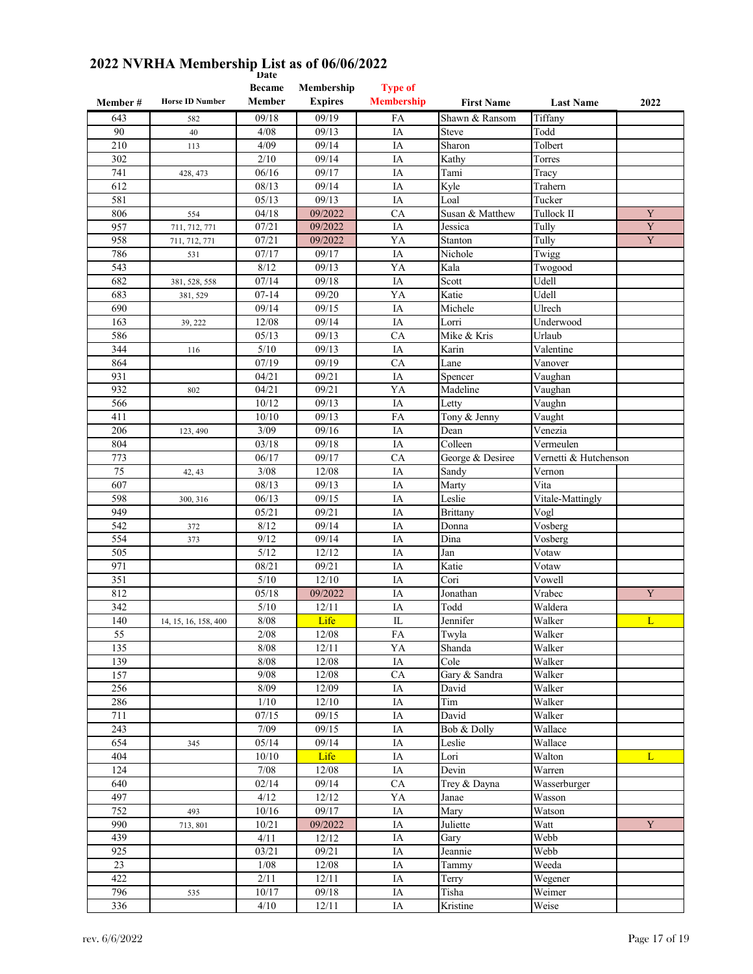|                  |                        | <b>Became</b>      | Membership     | <b>Type of</b>    |                          |                                  |             |
|------------------|------------------------|--------------------|----------------|-------------------|--------------------------|----------------------------------|-------------|
| Member#          | <b>Horse ID Number</b> | Member             | <b>Expires</b> | <b>Membership</b> | <b>First Name</b>        | <b>Last Name</b>                 | 2022        |
| 643              | 582                    | 09/18              | 09/19          | FA                | Shawn & Ransom           | Tiffany                          |             |
| 90               | 40                     | 4/08               | 09/13          | IA                | <b>Steve</b>             | Todd                             |             |
| 210              | 113                    | 4/09               | 09/14          | IA                | Sharon                   | Tolbert                          |             |
|                  |                        |                    |                |                   |                          |                                  |             |
| 302              |                        | 2/10               | 09/14          | IA                | Kathy                    | Torres                           |             |
| 741              | 428, 473               | 06/16              | 09/17          | IA                | Tami                     | Tracy                            |             |
| 612              |                        | 08/13              | 09/14          | IA                | Kyle                     | Trahern                          |             |
| 581              |                        | 05/13              | 09/13          | IA                | Loal                     | Tucker                           |             |
| 806              | 554                    | 04/18              | 09/2022        | CA                | Susan & Matthew          | Tullock II                       | Y           |
| 957              | 711, 712, 771          | 07/21              | 09/2022        | IA                | Jessica                  | Tully                            | Y           |
| 958              | 711, 712, 771          | 07/21              | 09/2022        | YA                | Stanton                  | Tully                            | $\mathbf Y$ |
| 786              | 531                    | 07/17              | 09/17          | IA                | Nichole                  | Twigg                            |             |
| 543              |                        | 8/12               | 09/13          | YA                | Kala                     | Twogood                          |             |
| 682              | 381, 528, 558          | 07/14              | 09/18          | IA                | Scott                    | Udell                            |             |
| 683              | 381, 529               | $07-14$            | 09/20          | YA                | Katie                    | Udell                            |             |
| 690              |                        | 09/14              | 09/15          | IA                | Michele                  | Ulrech                           |             |
|                  |                        |                    |                |                   |                          |                                  |             |
| 163              | 39, 222                | 12/08              | 09/14          | IA                | Lorri                    | Underwood                        |             |
| 586              |                        | 05/13              | 09/13          | CA                | Mike & Kris              | Urlaub                           |             |
| 344              | 116                    | 5/10               | 09/13          | IA                | Karin                    | $\overline{\mathrm{V}}$ alentine |             |
| 864              |                        | 07/19              | 09/19          | CA                | Lane                     | Vanover                          |             |
| 931              |                        | 04/21              | 09/21          | IA                | Spencer                  | Vaughan                          |             |
| 932              | 802                    | 04/21              | 09/21          | YA                | Madeline                 | $\overline{\mathrm{V}}$ aughan   |             |
| 566              |                        | 10/12              | 09/13          | IA                | Letty                    | Vaughn                           |             |
| 411              |                        | 10/10              | 09/13          | FA                | Tony & Jenny             | Vaught                           |             |
| 206              | 123, 490               | 3/09               | 09/16          | IA                | Dean                     | Venezia                          |             |
| 804              |                        | 03/18              | 09/18          | IA                | Colleen                  | Vermeulen                        |             |
| 773              |                        | 06/17              | 09/17          | CA                | George & Desiree         | Vernetti & Hutchenson            |             |
| 75               |                        | 3/08               | 12/08          | IA                | Sandy                    | Vernon                           |             |
|                  | 42, 43                 |                    |                |                   |                          |                                  |             |
| 607              |                        | 08/13              | 09/13          | IA                | Marty                    | Vita                             |             |
| 598              | 300, 316               | 06/13              | 09/15          | IA                | Leslie                   | Vitale-Mattingly                 |             |
| 949              |                        | 05/21              | 09/21          | IA                | <b>Brittany</b>          | Vogl                             |             |
| 542              | 372                    | 8/12               | 09/14          | IA                | Donna                    | Vosberg                          |             |
| 554              | 373                    | 9/12               | 09/14          | IA                | Dina                     | $\overline{\text{V}}$ osberg     |             |
| 505              |                        | 5/12               | 12/12          | IA                | Jan                      | Votaw                            |             |
| 971              |                        | 08/21              | 09/21          | IA                | Katie                    | Votaw                            |             |
| 351              |                        | 5/10               | 12/10          | IA                | Cori                     | Vowell                           |             |
| 812              |                        | 05/18              | 09/2022        | IA                | Jonathan                 | Vrabec                           | Y           |
| 342              |                        | 5/10               | 12/11          | IA                | Todd                     | Waldera                          |             |
| 140              | 14, 15, 16, 158, 400   | 8/08               | Life           | IL                | Jennifer                 | Walker                           | L           |
| 55               |                        | 2/08               | 12/08          | ${\rm FA}$        | Twyla                    | Walker                           |             |
| 135              |                        | 8/08               | 12/11          | YA                | Shanda                   | Walker                           |             |
| 139              |                        | 8/08               | 12/08          |                   | $\overline{\text{Cole}}$ | Walker                           |             |
|                  |                        |                    |                | IA                |                          |                                  |             |
| 157              |                        | $9/08$             | 12/08          | ${\rm CA}$        | Gary & Sandra            | Walker                           |             |
| 256              |                        | 8/09               | 12/09          | IA                | David                    | Walker                           |             |
| 286              |                        | 1/10               | 12/10          | IA                | Tim                      | Walker                           |             |
| 711              |                        | 07/15              | 09/15          | IA                | David                    | Walker                           |             |
| 243              |                        | 7/09               | 09/15          | IA                | Bob & Dolly              | Wallace                          |             |
| 654              | 345                    | 05/14              | 09/14          | IA                | Leslie                   | Wallace                          |             |
| $\frac{1}{404}$  |                        | 10/10              | Life           | IA                | Lori                     | Walton                           | L           |
| 124              |                        | 7/08               | 12/08          | IA                | Devin                    | Warren                           |             |
| 640              |                        | 02/14              | 09/14          | CA                | Trey & Dayna             | Wasserburger                     |             |
| 497              |                        | 4/12               | 12/12          | YA                | Janae                    | Wasson                           |             |
| 752              | 493                    | 10/16              | 09/17          | IA                | Mary                     | Watson                           |             |
| 990              |                        | 10/21              | 09/2022        | IA                | Juliette                 | Watt                             | $\mathbf Y$ |
|                  | 713, 801               |                    |                |                   |                          |                                  |             |
| 439              |                        | 4/11               | 12/12          | IA                | Gary                     | Webb                             |             |
| $\overline{925}$ |                        | $\overline{03/21}$ | 09/21          | $\rm IA$          | Jeannie                  | Webb                             |             |
| 23               |                        | 1/08               | 12/08          | IA                | Tammy                    | Weeda                            |             |
| 422              |                        | 2/11               | 12/11          | IA                | Terry                    | Wegener                          |             |
| 796              | 535                    | 10/17              | 09/18          | IA                | Tisha                    | Weimer                           |             |
| 336              |                        | 4/10               | 12/11          | IA                | Kristine                 | Weise                            |             |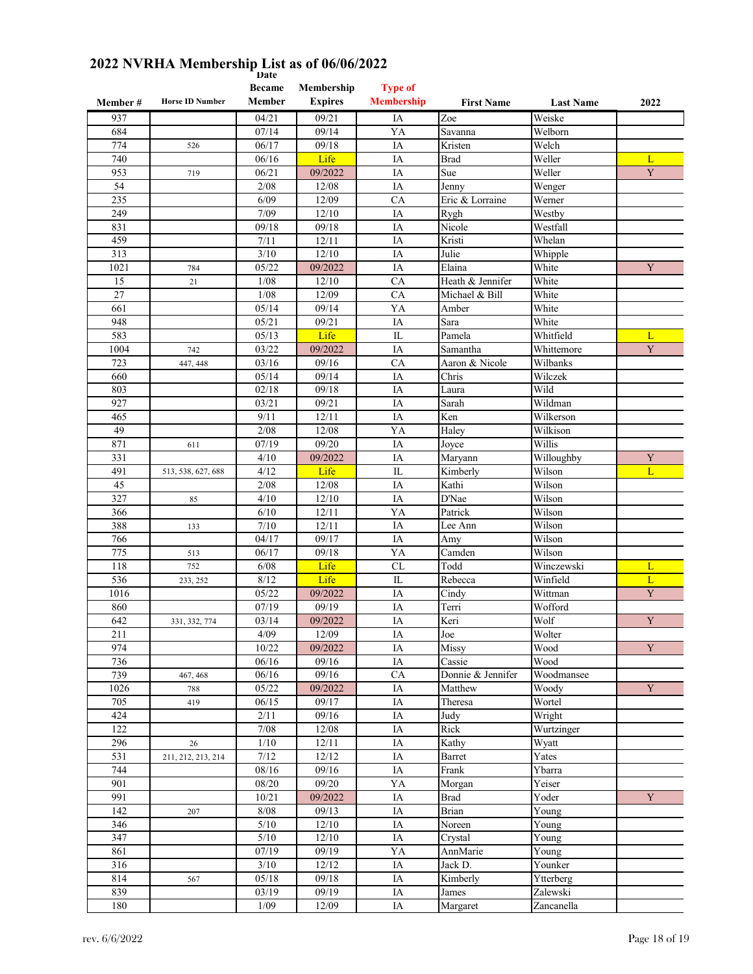|          |                        | <b>Became</b> | Membership     | <b>Type of</b>    |                   |                  |             |
|----------|------------------------|---------------|----------------|-------------------|-------------------|------------------|-------------|
| Member # | <b>Horse ID Number</b> | Member        | <b>Expires</b> | <b>Membership</b> | <b>First Name</b> | <b>Last Name</b> | 2022        |
| 937      |                        | 04/21         | 09/21          | IA                | Zoe               | Weiske           |             |
| 684      |                        | 07/14         | 09/14          | YA                | Savanna           | Welborn          |             |
| 774      | 526                    | 06/17         | 09/18          | IA                | Kristen           | Welch            |             |
| 740      |                        | 06/16         | Life           | IA                | Brad              | Weller           | L           |
| 953      | 719                    | 06/21         | 09/2022        | IA                | Sue               | Weller           | Y           |
| 54       |                        | 2/08          | 12/08          | IA                | Jenny             | Wenger           |             |
| 235      |                        | 6/09          | 12/09          | CA                | Eric & Lorraine   | Werner           |             |
| 249      |                        | 7/09          | 12/10          | IA                | Rygh              | Westby           |             |
| 831      |                        | 09/18         | 09/18          | IA                | Nicole            | Westfall         |             |
| 459      |                        | 7/11          | 12/11          | IA                | Kristi            | Whelan           |             |
| 313      |                        | 3/10          | 12/10          | IA                | Julie             | Whipple          |             |
| 1021     | 784                    | 05/22         | 09/2022        | IA                | Elaina            | White            | Y           |
| 15       | 21                     | 1/08          | 12/10          | CA                | Heath & Jennifer  | White            |             |
| 27       |                        | 1/08          | 12/09          | CA                | Michael & Bill    | White            |             |
| 661      |                        | 05/14         | 09/14          | YA                | Amber             | White            |             |
| 948      |                        | 05/21         | 09/21          | IA                | Sara              | White            |             |
| 583      |                        | 05/13         | Life           | IL                | Pamela            | Whitfield        | L           |
|          |                        |               |                |                   |                   |                  | Y           |
| 1004     | 742                    | 03/22         | 09/2022        | IA                | Samantha          | Whittemore       |             |
| 723      | 447, 448               | 03/16         | 09/16          | CA                | Aaron & Nicole    | Wilbanks         |             |
| 660      |                        | 05/14         | 09/14          | IA                | Chris             | Wilczek          |             |
| 803      |                        | 02/18         | 09/18          | IA                | Laura             | Wild             |             |
| 927      |                        | 03/21         | 09/21          | IA                | Sarah             | Wildman          |             |
| 465      |                        | 9/11          | 12/11          | IA                | Ken               | Wilkerson        |             |
| 49       |                        | 2/08          | 12/08          | YA                | Haley             | Wilkison         |             |
| 871      | 611                    | 07/19         | 09/20          | IA                | Joyce             | Willis           |             |
| 331      |                        | 4/10          | 09/2022        | IA                | Maryann           | Willoughby       | Y           |
| 491      | 513, 538, 627, 688     | 4/12          | Life           | IL                | Kimberly          | Wilson           | L           |
| 45       |                        | 2/08          | 12/08          | IA                | Kathi             | Wilson           |             |
| 327      | 85                     | 4/10          | 12/10          | IA                | D'Nae             | Wilson           |             |
| 366      |                        | 6/10          | 12/11          | YA                | Patrick           | Wilson           |             |
| 388      | 133                    | 7/10          | 12/11          | IA                | Lee Ann           | Wilson           |             |
| 766      |                        | 04/17         | 09/17          | IA                | Amy               | Wilson           |             |
| 775      | 513                    | 06/17         | 09/18          | YA                | Camden            | Wilson           |             |
| 118      | 752                    | 6/08          | Life           | CL                | Todd              | Winczewski       | L           |
| 536      | 233, 252               | 8/12          | Life           | IL                | Rebecca           | Winfield         | L           |
| 1016     |                        | 05/22         | 09/2022        | IA                | Cindy             | Wittman          | Y           |
| 860      |                        | 07/19         | 09/19          | IA                | Terri             | Wofford          |             |
| 642      | 331, 332, 774          | 03/14         | 09/2022        | IA                | Keri              | Wolf             | Y           |
| 211      |                        | 4/09          | 12/09          | $\rm IA$          | Joe               | Wolter           |             |
| 974      |                        | 10/22         | 09/2022        | IA                | Missy             | Wood             | $\mathbf Y$ |
| 736      |                        | 06/16         | 09/16          | IA                | Cassie            | Wood             |             |
| 739      | 467, 468               | 06/16         | 09/16          | CA                | Donnie & Jennifer | Woodmansee       |             |
| 1026     | 788                    | 05/22         | 09/2022        | IA                | Matthew           | Woody            | Y           |
| 705      | 419                    | 06/15         | 09/17          | IA                | Theresa           | Wortel           |             |
| 424      |                        | 2/11          | 09/16          | IA                | Judy              | Wright           |             |
| 122      |                        | 7/08          | 12/08          | IA                | Rick              | Wurtzinger       |             |
| 296      | 26                     | 1/10          | 12/11          | IA                | Kathy             | Wyatt            |             |
| 531      | 211, 212, 213, 214     | $7/12$        | 12/12          | IA                | Barret            | Yates            |             |
| 744      |                        | 08/16         | 09/16          | IA                | Frank             | Ybarra           |             |
| 901      |                        | 08/20         | 09/20          | YA                | Morgan            | Yeiser           |             |
| 991      |                        | 10/21         | 09/2022        | IA                | Brad              | Yoder            | Y           |
| 142      | 207                    | 8/08          | 09/13          | IA                | Brian             | Young            |             |
| 346      |                        | 5/10          | 12/10          | IA                | Noreen            | Young            |             |
| 347      |                        | $5/10$        | 12/10          | IA                | Crystal           | Young            |             |
| 861      |                        | 07/19         | 09/19          | YA                | AnnMarie          | Young            |             |
| 316      |                        | $3/10$        | 12/12          | IA                | Jack D.           | Younker          |             |
| 814      | 567                    | 05/18         | 09/18          | IA                | Kimberly          | Ytterberg        |             |
| 839      |                        | 03/19         | 09/19          | IA                | James             | Zalewski         |             |
| 180      |                        | $1/09$        | 12/09          | IA                |                   | Zancanella       |             |
|          |                        |               |                |                   | Margaret          |                  |             |